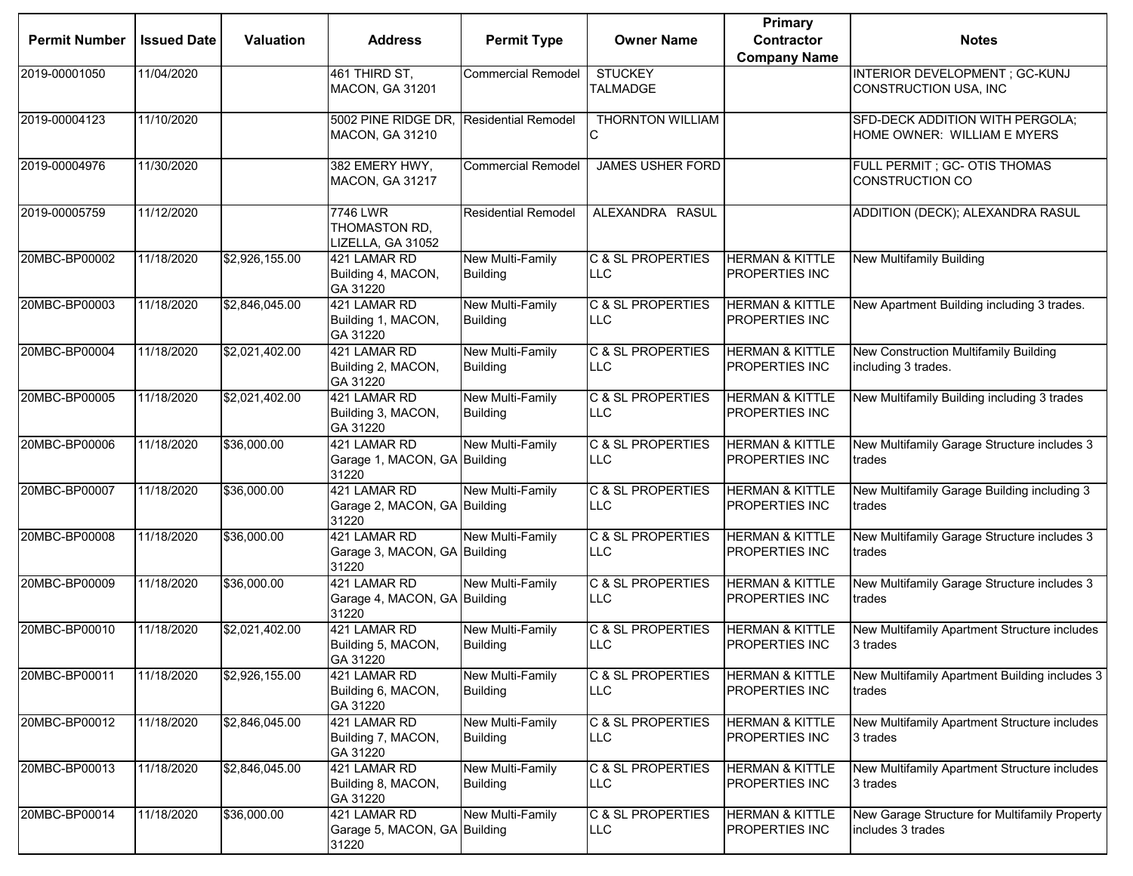|                      |                    |                  |                                                                   |                                            |                                             | <b>Primary</b>                               |                                                                    |
|----------------------|--------------------|------------------|-------------------------------------------------------------------|--------------------------------------------|---------------------------------------------|----------------------------------------------|--------------------------------------------------------------------|
| <b>Permit Number</b> | <b>Issued Date</b> | <b>Valuation</b> | <b>Address</b>                                                    | <b>Permit Type</b>                         | <b>Owner Name</b>                           | <b>Contractor</b>                            | <b>Notes</b>                                                       |
|                      |                    |                  |                                                                   |                                            |                                             | <b>Company Name</b>                          |                                                                    |
| 2019-00001050        | 11/04/2020         |                  | 461 THIRD ST,<br><b>MACON, GA 31201</b>                           | <b>Commercial Remodel</b>                  | <b>STUCKEY</b><br><b>TALMADGE</b>           |                                              | INTERIOR DEVELOPMENT ; GC-KUNJ<br>CONSTRUCTION USA, INC            |
| 2019-00004123        | 11/10/2020         |                  | 5002 PINE RIDGE DR, Residential Remodel<br><b>MACON, GA 31210</b> |                                            | THORNTON WILLIAM                            |                                              | SFD-DECK ADDITION WITH PERGOLA;<br>HOME OWNER: WILLIAM E MYERS     |
| 2019-00004976        | 11/30/2020         |                  | 382 EMERY HWY.<br><b>MACON, GA 31217</b>                          | <b>Commercial Remodel</b>                  | <b>JAMES USHER FORD</b>                     |                                              | FULL PERMIT ; GC- OTIS THOMAS<br><b>CONSTRUCTION CO</b>            |
| 2019-00005759        | 11/12/2020         |                  | 7746 LWR<br>THOMASTON RD,<br>LIZELLA, GA 31052                    | <b>Residential Remodel</b>                 | ALEXANDRA RASUL                             |                                              | ADDITION (DECK); ALEXANDRA RASUL                                   |
| 20MBC-BP00002        | 11/18/2020         | \$2,926,155.00   | 421 LAMAR RD<br>Building 4, MACON,<br>GA 31220                    | New Multi-Family<br><b>Building</b>        | <b>C &amp; SL PROPERTIES</b><br><b>LLC</b>  | <b>HERMAN &amp; KITTLE</b><br>PROPERTIES INC | <b>New Multifamily Building</b>                                    |
| 20MBC-BP00003        | 11/18/2020         | \$2,846,045.00   | 421 LAMAR RD<br>Building 1, MACON,<br>GA 31220                    | New Multi-Family<br><b>Building</b>        | <b>C &amp; SL PROPERTIES</b><br><b>LLC</b>  | <b>HERMAN &amp; KITTLE</b><br>PROPERTIES INC | New Apartment Building including 3 trades.                         |
| 20MBC-BP00004        | 11/18/2020         | \$2,021,402.00   | 421 LAMAR RD<br>Building 2, MACON,<br>GA 31220                    | New Multi-Family<br><b>Building</b>        | C & SL PROPERTIES<br>LLC                    | <b>HERMAN &amp; KITTLE</b><br>PROPERTIES INC | New Construction Multifamily Building<br>including 3 trades.       |
| 20MBC-BP00005        | 11/18/2020         | \$2,021,402.00   | 421 LAMAR RD<br>Building 3, MACON,<br>GA 31220                    | New Multi-Family<br><b>Building</b>        | <b>C &amp; SL PROPERTIES</b><br><b>LLC</b>  | <b>HERMAN &amp; KITTLE</b><br>PROPERTIES INC | New Multifamily Building including 3 trades                        |
| 20MBC-BP00006        | 11/18/2020         | \$36,000.00      | 421 LAMAR RD<br>Garage 1, MACON, GA Building<br>31220             | New Multi-Family                           | <b>C &amp; SL PROPERTIES</b><br><b>LLC</b>  | <b>HERMAN &amp; KITTLE</b><br>PROPERTIES INC | New Multifamily Garage Structure includes 3<br>trades              |
| 20MBC-BP00007        | 11/18/2020         | \$36,000.00      | 421 LAMAR RD<br>Garage 2, MACON, GA Building<br>31220             | <b>New Multi-Family</b>                    | <b>C &amp; SL PROPERTIES</b><br><b>LLC</b>  | <b>HERMAN &amp; KITTLE</b><br>PROPERTIES INC | New Multifamily Garage Building including 3<br>trades              |
| 20MBC-BP00008        | 11/18/2020         | \$36,000.00      | 421 LAMAR RD<br>Garage 3, MACON, GA Building<br>31220             | <b>New Multi-Family</b>                    | <b>C &amp; SL PROPERTIES</b><br><b>ILLC</b> | <b>HERMAN &amp; KITTLE</b><br>PROPERTIES INC | New Multifamily Garage Structure includes 3<br>trades              |
| 20MBC-BP00009        | 11/18/2020         | \$36,000.00      | 421 LAMAR RD<br>Garage 4, MACON, GA Building<br>31220             | <b>New Multi-Family</b>                    | <b>C &amp; SL PROPERTIES</b><br><b>LLC</b>  | <b>HERMAN &amp; KITTLE</b><br>PROPERTIES INC | New Multifamily Garage Structure includes 3<br>trades              |
| 20MBC-BP00010        | 11/18/2020         | \$2,021,402.00   | 421 LAMAR RD<br>Building 5, MACON,<br>GA 31220                    | New Multi-Family<br><b>Building</b>        | <b>C &amp; SL PROPERTIES</b><br><b>LLC</b>  | <b>HERMAN &amp; KITTLE</b><br>PROPERTIES INC | New Multifamily Apartment Structure includes<br>3 trades           |
| 20MBC-BP00011        | 11/18/2020         | \$2,926,155.00   | 421 LAMAR RD<br>Building 6, MACON,<br>GA 31220                    | <b>New Multi-Family</b><br><b>Building</b> | <b>C &amp; SL PROPERTIES</b><br><b>LLC</b>  | <b>HERMAN &amp; KITTLE</b><br>PROPERTIES INC | New Multifamily Apartment Building includes 3<br>trades            |
| 20MBC-BP00012        | 11/18/2020         | \$2,846,045.00   | 421 LAMAR RD<br>Building 7, MACON,<br>GA 31220                    | New Multi-Family<br><b>Building</b>        | C & SL PROPERTIES<br><b>LLC</b>             | <b>HERMAN &amp; KITTLE</b><br>PROPERTIES INC | New Multifamily Apartment Structure includes<br>3 trades           |
| 20MBC-BP00013        | 11/18/2020         | \$2,846,045.00   | 421 LAMAR RD<br>Building 8, MACON,<br>GA 31220                    | New Multi-Family<br><b>Building</b>        | <b>C &amp; SL PROPERTIES</b><br><b>ILLC</b> | <b>HERMAN &amp; KITTLE</b><br>PROPERTIES INC | New Multifamily Apartment Structure includes<br>3 trades           |
| 20MBC-BP00014        | 11/18/2020         | \$36,000.00      | 421 LAMAR RD<br>Garage 5, MACON, GA Building<br>31220             | New Multi-Family                           | <b>C &amp; SL PROPERTIES</b><br><b>LLC</b>  | <b>HERMAN &amp; KITTLE</b><br>PROPERTIES INC | New Garage Structure for Multifamily Property<br>includes 3 trades |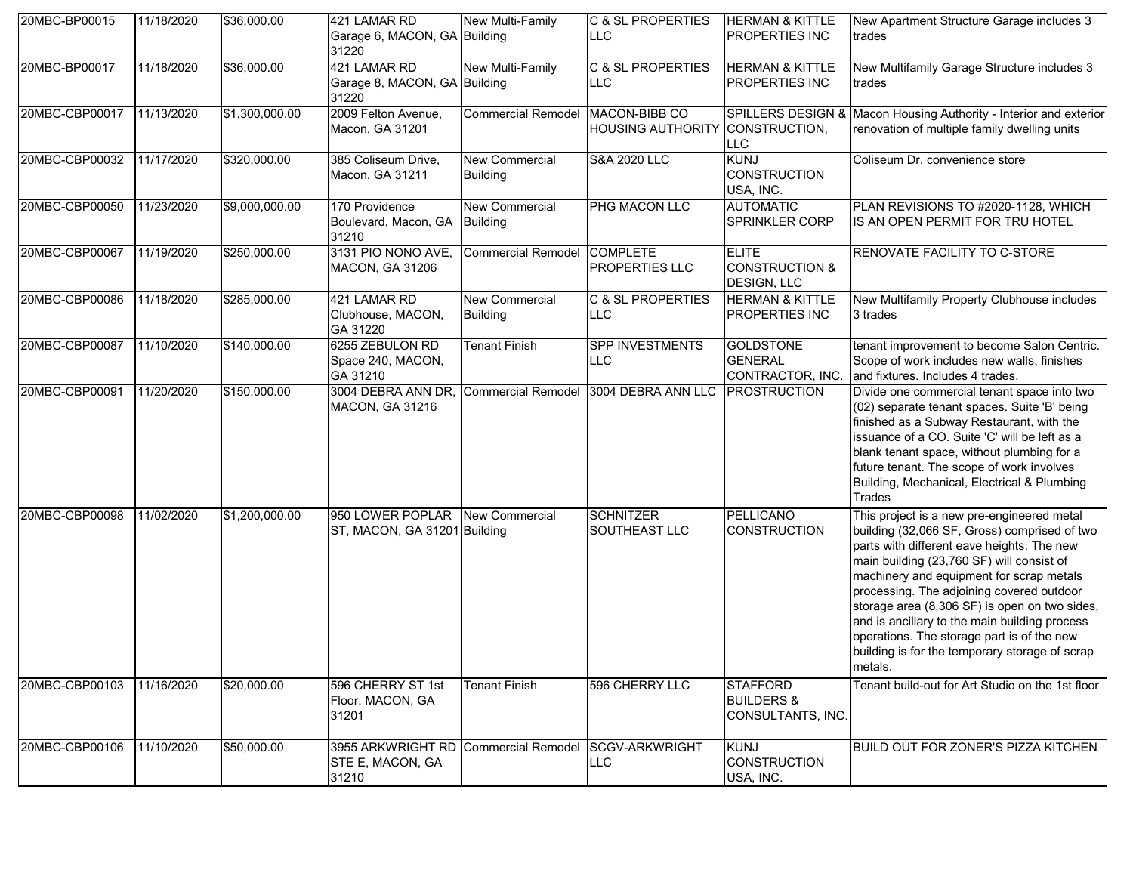| 20MBC-BP00015  | 11/18/2020 | \$36,000.00    | 421 LAMAR RD<br>Garage 6, MACON, GA Building<br>31220                            | <b>New Multi-Family</b>                  | C & SL PROPERTIES<br><b>LLC</b>            | <b>HERMAN &amp; KITTLE</b><br><b>PROPERTIES INC</b>             | New Apartment Structure Garage includes 3<br>trades                                                                                                                                                                                                                                                                                                                                                                                                                                         |
|----------------|------------|----------------|----------------------------------------------------------------------------------|------------------------------------------|--------------------------------------------|-----------------------------------------------------------------|---------------------------------------------------------------------------------------------------------------------------------------------------------------------------------------------------------------------------------------------------------------------------------------------------------------------------------------------------------------------------------------------------------------------------------------------------------------------------------------------|
| 20MBC-BP00017  | 11/18/2020 | \$36,000.00    | 421 LAMAR RD<br>Garage 8, MACON, GA Building<br>31220                            | New Multi-Family                         | <b>C &amp; SL PROPERTIES</b><br><b>LLC</b> | <b>HERMAN &amp; KITTLE</b><br><b>PROPERTIES INC</b>             | New Multifamily Garage Structure includes 3<br>trades                                                                                                                                                                                                                                                                                                                                                                                                                                       |
| 20MBC-CBP00017 | 11/13/2020 | \$1,300,000.00 | 2009 Felton Avenue,<br>Macon, GA 31201                                           | <b>Commercial Remodel</b>                | MACON-BIBB CO<br><b>HOUSING AUTHORITY</b>  | SPILLERS DESIGN &<br>CONSTRUCTION,<br>LLC                       | Macon Housing Authority - Interior and exterior<br>renovation of multiple family dwelling units                                                                                                                                                                                                                                                                                                                                                                                             |
| 20MBC-CBP00032 | 11/17/2020 | \$320,000.00   | 385 Coliseum Drive,<br>Macon, GA 31211                                           | <b>New Commercial</b><br><b>Building</b> | <b>S&amp;A 2020 LLC</b>                    | <b>KUNJ</b><br><b>CONSTRUCTION</b><br>USA, INC.                 | Coliseum Dr. convenience store                                                                                                                                                                                                                                                                                                                                                                                                                                                              |
| 20MBC-CBP00050 | 11/23/2020 | \$9,000,000.00 | 170 Providence<br>Boulevard, Macon, GA Building<br>31210                         | <b>New Commercial</b>                    | PHG MACON LLC                              | <b>AUTOMATIC</b><br>SPRINKLER CORP                              | PLAN REVISIONS TO #2020-1128, WHICH<br>IS AN OPEN PERMIT FOR TRU HOTEL                                                                                                                                                                                                                                                                                                                                                                                                                      |
| 20MBC-CBP00067 | 11/19/2020 | \$250,000.00   | 3131 PIO NONO AVE,<br>MACON, GA 31206                                            | <b>Commercial Remodel</b>                | <b>COMPLETE</b><br><b>PROPERTIES LLC</b>   | <b>ELITE</b><br><b>CONSTRUCTION &amp;</b><br><b>DESIGN, LLC</b> | RENOVATE FACILITY TO C-STORE                                                                                                                                                                                                                                                                                                                                                                                                                                                                |
| 20MBC-CBP00086 | 11/18/2020 | \$285,000.00   | 421 LAMAR RD<br>Clubhouse, MACON,<br>GA 31220                                    | <b>New Commercial</b><br><b>Building</b> | C & SL PROPERTIES<br><b>LLC</b>            | <b>HERMAN &amp; KITTLE</b><br><b>PROPERTIES INC</b>             | New Multifamily Property Clubhouse includes<br>3 trades                                                                                                                                                                                                                                                                                                                                                                                                                                     |
| 20MBC-CBP00087 | 11/10/2020 | \$140,000.00   | 6255 ZEBULON RD<br>Space 240, MACON,<br>GA 31210                                 | <b>Tenant Finish</b>                     | <b>SPP INVESTMENTS</b><br><b>LLC</b>       | <b>GOLDSTONE</b><br><b>GENERAL</b><br>CONTRACTOR, INC.          | tenant improvement to become Salon Centric.<br>Scope of work includes new walls, finishes<br>and fixtures. Includes 4 trades.                                                                                                                                                                                                                                                                                                                                                               |
| 20MBC-CBP00091 | 11/20/2020 | \$150,000.00   | 3004 DEBRA ANN DR,<br>MACON, GA 31216                                            |                                          | Commercial Remodel 3004 DEBRA ANN LLC      | <b>PROSTRUCTION</b>                                             | Divide one commercial tenant space into two<br>(02) separate tenant spaces. Suite 'B' being<br>finished as a Subway Restaurant, with the<br>issuance of a CO. Suite 'C' will be left as a<br>blank tenant space, without plumbing for a<br>future tenant. The scope of work involves<br>Building, Mechanical, Electrical & Plumbing<br>Trades                                                                                                                                               |
| 20MBC-CBP00098 | 11/02/2020 | \$1,200,000.00 | 950 LOWER POPLAR New Commercial<br>ST, MACON, GA 31201 Building                  |                                          | <b>SCHNITZER</b><br>SOUTHEAST LLC          | <b>PELLICANO</b><br><b>CONSTRUCTION</b>                         | This project is a new pre-engineered metal<br>building (32,066 SF, Gross) comprised of two<br>parts with different eave heights. The new<br>main building (23,760 SF) will consist of<br>machinery and equipment for scrap metals<br>processing. The adjoining covered outdoor<br>storage area (8,306 SF) is open on two sides,<br>and is ancillary to the main building process<br>operations. The storage part is of the new<br>building is for the temporary storage of scrap<br>metals. |
| 20MBC-CBP00103 | 11/16/2020 | \$20,000.00    | 596 CHERRY ST 1st<br>Floor, MACON, GA<br>31201                                   | <b>Tenant Finish</b>                     | 596 CHERRY LLC                             | <b>STAFFORD</b><br><b>BUILDERS &amp;</b><br>CONSULTANTS, INC.   | Tenant build-out for Art Studio on the 1st floor                                                                                                                                                                                                                                                                                                                                                                                                                                            |
| 20MBC-CBP00106 | 11/10/2020 | \$50,000.00    | 3955 ARKWRIGHT RD Commercial Remodel SCGV-ARKWRIGHT<br>STE E, MACON, GA<br>31210 |                                          | <b>LLC</b>                                 | <b>KUNJ</b><br><b>CONSTRUCTION</b><br>USA, INC.                 | BUILD OUT FOR ZONER'S PIZZA KITCHEN                                                                                                                                                                                                                                                                                                                                                                                                                                                         |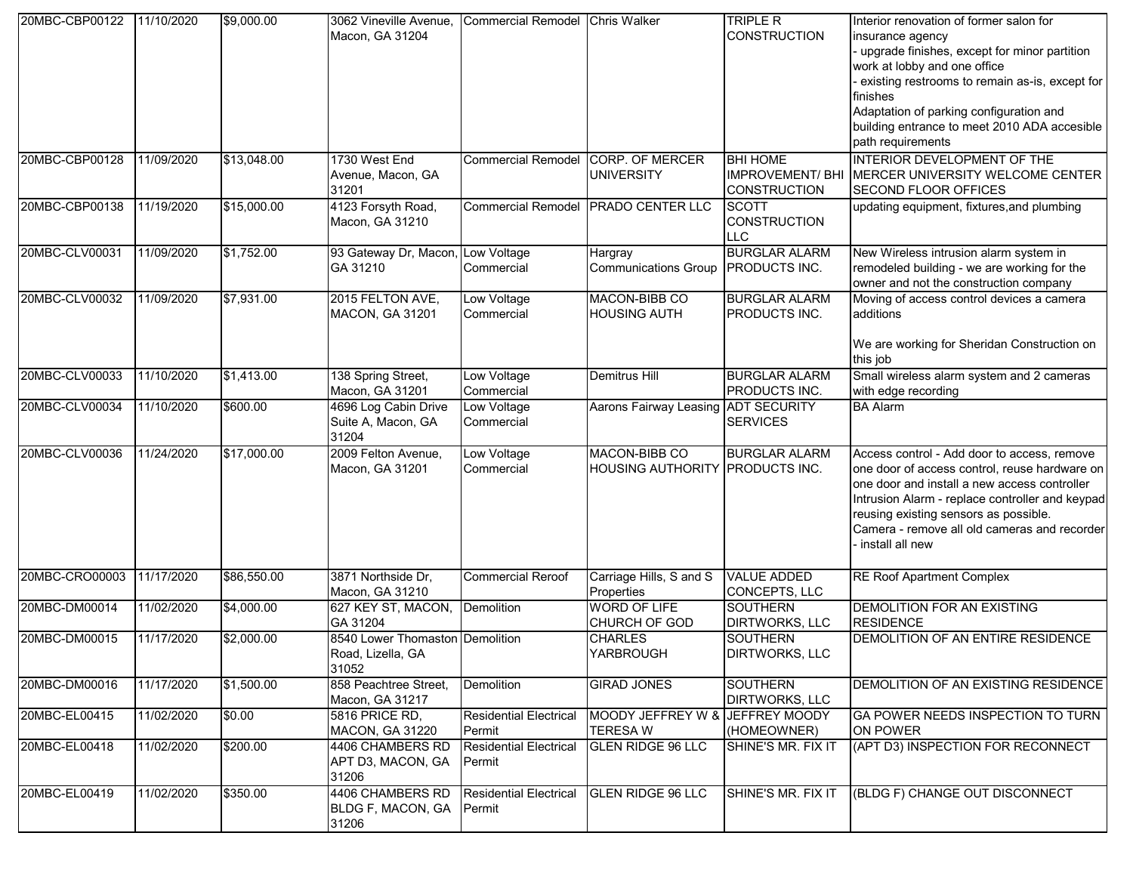| 20MBC-CBP00122 | 11/10/2020 | \$9,000.00  | 3062 Vineville Avenue,<br>Macon, GA 31204                     | Commercial Remodel Chris Walker         |                                                   | <b>TRIPLE R</b><br><b>CONSTRUCTION</b>                           | Interior renovation of former salon for<br>insurance agency<br>- upgrade finishes, except for minor partition<br>work at lobby and one office<br>- existing restrooms to remain as-is, except for<br>finishes<br>Adaptation of parking configuration and<br>building entrance to meet 2010 ADA accesible<br>path requirements |
|----------------|------------|-------------|---------------------------------------------------------------|-----------------------------------------|---------------------------------------------------|------------------------------------------------------------------|-------------------------------------------------------------------------------------------------------------------------------------------------------------------------------------------------------------------------------------------------------------------------------------------------------------------------------|
| 20MBC-CBP00128 | 11/09/2020 | \$13,048.00 | 1730 West End<br>Avenue, Macon, GA<br>31201                   | Commercial Remodel CORP. OF MERCER      | <b>UNIVERSITY</b>                                 | <b>BHI HOME</b><br><b>IMPROVEMENT/BHI</b><br><b>CONSTRUCTION</b> | INTERIOR DEVELOPMENT OF THE<br>MERCER UNIVERSITY WELCOME CENTER<br><b>SECOND FLOOR OFFICES</b>                                                                                                                                                                                                                                |
| 20MBC-CBP00138 | 11/19/2020 | \$15,000.00 | 4123 Forsyth Road,<br>Macon, GA 31210                         | <b>Commercial Remodel</b>               | <b>PRADO CENTER LLC</b>                           | <b>SCOTT</b><br><b>CONSTRUCTION</b><br><b>LLC</b>                | updating equipment, fixtures, and plumbing                                                                                                                                                                                                                                                                                    |
| 20MBC-CLV00031 | 11/09/2020 | \$1,752.00  | 93 Gateway Dr, Macon, Low Voltage<br>GA 31210                 | Commercial                              | Hargray<br><b>Communications Group</b>            | <b>BURGLAR ALARM</b><br>PRODUCTS INC.                            | New Wireless intrusion alarm system in<br>remodeled building - we are working for the<br>owner and not the construction company                                                                                                                                                                                               |
| 20MBC-CLV00032 | 11/09/2020 | \$7,931.00  | 2015 FELTON AVE,<br><b>MACON, GA 31201</b>                    | Low Voltage<br>Commercial               | MACON-BIBB CO<br><b>HOUSING AUTH</b>              | <b>BURGLAR ALARM</b><br>PRODUCTS INC.                            | Moving of access control devices a camera<br>additions<br>We are working for Sheridan Construction on<br>this job                                                                                                                                                                                                             |
| 20MBC-CLV00033 | 11/10/2020 | \$1,413.00  | 138 Spring Street,<br>Macon, GA 31201                         | Low Voltage<br>Commercial               | Demitrus Hill                                     | <b>BURGLAR ALARM</b><br>PRODUCTS INC.                            | Small wireless alarm system and 2 cameras<br>with edge recording                                                                                                                                                                                                                                                              |
| 20MBC-CLV00034 | 11/10/2020 | \$600.00    | 4696 Log Cabin Drive<br>Suite A, Macon, GA<br>31204           | Low Voltage<br>Commercial               | Aarons Fairway Leasing                            | <b>ADT SECURITY</b><br><b>SERVICES</b>                           | <b>BA Alarm</b>                                                                                                                                                                                                                                                                                                               |
| 20MBC-CLV00036 | 11/24/2020 | \$17,000.00 | 2009 Felton Avenue,<br>Macon, GA 31201                        | Low Voltage<br>Commercial               | MACON-BIBB CO<br>HOUSING AUTHORITY PRODUCTS INC.  | <b>BURGLAR ALARM</b>                                             | Access control - Add door to access, remove<br>one door of access control, reuse hardware on<br>one door and install a new access controller<br>Intrusion Alarm - replace controller and keypad<br>reusing existing sensors as possible.<br>Camera - remove all old cameras and recorder<br>- install all new                 |
| 20MBC-CRO00003 | 11/17/2020 | \$86,550.00 | 3871 Northside Dr,<br>Macon, GA 31210                         | <b>Commercial Reroof</b>                | Carriage Hills, S and S<br>Properties             | <b>VALUE ADDED</b><br>CONCEPTS, LLC                              | <b>RE Roof Apartment Complex</b>                                                                                                                                                                                                                                                                                              |
| 20MBC-DM00014  | 11/02/2020 | \$4,000.00  | 627 KEY ST, MACON,<br>GA 31204                                | <b>Demolition</b>                       | <b>WORD OF LIFE</b><br>CHURCH OF GOD              | <b>SOUTHERN</b><br><b>DIRTWORKS, LLC</b>                         | DEMOLITION FOR AN EXISTING<br><b>RESIDENCE</b>                                                                                                                                                                                                                                                                                |
| 20MBC-DM00015  | 11/17/2020 | \$2,000.00  | 8540 Lower Thomaston Demolition<br>Road, Lizella, GA<br>31052 |                                         | <b>CHARLES</b><br>YARBROUGH                       | <b>SOUTHERN</b><br>DIRTWORKS, LLC                                | DEMOLITION OF AN ENTIRE RESIDENCE                                                                                                                                                                                                                                                                                             |
| 20MBC-DM00016  | 11/17/2020 | \$1,500.00  | 858 Peachtree Street,<br>Macon, GA 31217                      | Demolition                              | <b>GIRAD JONES</b>                                | <b>SOUTHERN</b><br><b>DIRTWORKS, LLC</b>                         | DEMOLITION OF AN EXISTING RESIDENCE                                                                                                                                                                                                                                                                                           |
| 20MBC-EL00415  | 11/02/2020 | \$0.00      | 5816 PRICE RD,<br>MACON, GA 31220                             | <b>Residential Electrical</b><br>Permit | MOODY JEFFREY W & JEFFREY MOODY<br><b>TERESAW</b> | (HOMEOWNER)                                                      | GA POWER NEEDS INSPECTION TO TURN<br>ON POWER                                                                                                                                                                                                                                                                                 |
| 20MBC-EL00418  | 11/02/2020 | \$200.00    | 4406 CHAMBERS RD<br>APT D3, MACON, GA<br>31206                | <b>Residential Electrical</b><br>Permit | <b>GLEN RIDGE 96 LLC</b>                          | SHINE'S MR. FIX IT                                               | (APT D3) INSPECTION FOR RECONNECT                                                                                                                                                                                                                                                                                             |
| 20MBC-EL00419  | 11/02/2020 | \$350.00    | 4406 CHAMBERS RD<br>BLDG F, MACON, GA<br>31206                | <b>Residential Electrical</b><br>Permit | <b>GLEN RIDGE 96 LLC</b>                          | SHINE'S MR. FIX IT                                               | (BLDG F) CHANGE OUT DISCONNECT                                                                                                                                                                                                                                                                                                |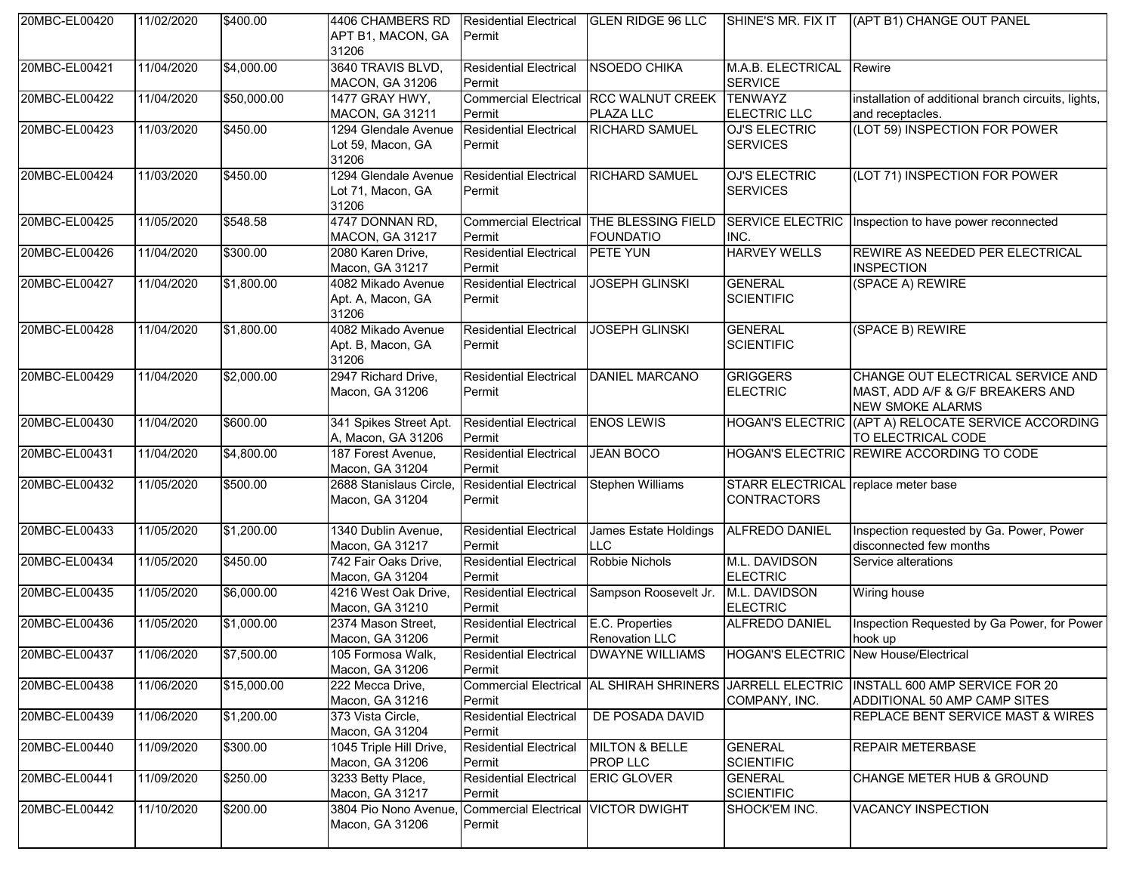| 20MBC-EL00420            | 11/02/2020 | \$400.00    | 4406 CHAMBERS RD<br>APT B1, MACON, GA<br>31206     | <b>Residential Electrical</b><br>Permit              | <b>GLEN RIDGE 96 LLC</b>                                     | <b>I</b> SHINE'S MR. FIX IT                               | (APT B1) CHANGE OUT PANEL                                                                                                |
|--------------------------|------------|-------------|----------------------------------------------------|------------------------------------------------------|--------------------------------------------------------------|-----------------------------------------------------------|--------------------------------------------------------------------------------------------------------------------------|
| 20MBC-EL00421            | 11/04/2020 | \$4,000.00  | 3640 TRAVIS BLVD,<br><b>MACON, GA 31206</b>        | <b>Residential Electrical</b><br>Permit              | NSOEDO CHIKA                                                 | M.A.B. ELECTRICAL<br><b>SERVICE</b>                       | Rewire                                                                                                                   |
| 20MBC-EL00422            | 11/04/2020 | \$50,000.00 | 1477 GRAY HWY,<br><b>MACON, GA 31211</b>           | Permit                                               | <b>Commercial Electrical RCC WALNUT CREEK</b><br>PLAZA LLC   | <b>TENWAYZ</b><br><b>ELECTRIC LLC</b>                     | installation of additional branch circuits, lights,<br>and receptacles.                                                  |
| 20MBC-EL00423            | 11/03/2020 | \$450.00    | 1294 Glendale Avenue<br>Lot 59, Macon, GA<br>31206 | <b>Residential Electrical</b><br>Permit              | <b>RICHARD SAMUEL</b>                                        | <b>OJ'S ELECTRIC</b><br><b>SERVICES</b>                   | (LOT 59) INSPECTION FOR POWER                                                                                            |
| 20MBC-EL00424            | 11/03/2020 | \$450.00    | 1294 Glendale Avenue<br>Lot 71, Macon, GA<br>31206 | <b>Residential Electrical</b><br>Permit              | <b>RICHARD SAMUEL</b>                                        | OJ'S ELECTRIC<br><b>SERVICES</b>                          | (LOT 71) INSPECTION FOR POWER                                                                                            |
| 20MBC-EL00425            | 11/05/2020 | \$548.58    | 4747 DONNAN RD,<br>MACON, GA 31217                 | Permit                                               | Commercial Electrical THE BLESSING FIELD<br><b>FOUNDATIO</b> | INC.                                                      | SERVICE ELECTRIC Inspection to have power reconnected                                                                    |
| 20MBC-EL00426            | 11/04/2020 | \$300.00    | 2080 Karen Drive,<br>Macon, GA 31217               | <b>Residential Electrical</b><br>Permit              | PETE YUN                                                     | <b>HARVEY WELLS</b>                                       | <b>REWIRE AS NEEDED PER ELECTRICAL</b><br><b>INSPECTION</b>                                                              |
| 20MBC-EL00427            | 11/04/2020 | \$1,800.00  | 4082 Mikado Avenue<br>Apt. A, Macon, GA<br>31206   | <b>Residential Electrical</b><br>Permit              | <b>JOSEPH GLINSKI</b>                                        | <b>GENERAL</b><br><b>SCIENTIFIC</b>                       | (SPACE A) REWIRE                                                                                                         |
| 20MBC-EL00428            | 11/04/2020 | \$1,800.00  | 4082 Mikado Avenue<br>Apt. B, Macon, GA<br>31206   | <b>Residential Electrical</b><br>Permit              | <b>JOSEPH GLINSKI</b>                                        | <b>GENERAL</b><br><b>SCIENTIFIC</b>                       | (SPACE B) REWIRE                                                                                                         |
| 20MBC-EL00429            | 11/04/2020 | \$2,000.00  | 2947 Richard Drive,<br>Macon, GA 31206             | <b>Residential Electrical</b><br>Permit              | <b>DANIEL MARCANO</b>                                        | <b>GRIGGERS</b><br><b>ELECTRIC</b>                        | CHANGE OUT ELECTRICAL SERVICE AND<br>MAST, ADD A/F & G/F BREAKERS AND<br><b>NEW SMOKE ALARMS</b>                         |
| 20MBC-EL00430            | 11/04/2020 | \$600.00    | 341 Spikes Street Apt.<br>A, Macon, GA 31206       | <b>Residential Electrical</b><br>Permit              | <b>ENOS LEWIS</b>                                            |                                                           | HOGAN'S ELECTRIC (APT A) RELOCATE SERVICE ACCORDING<br>TO ELECTRICAL CODE                                                |
| 20MBC-EL00431            | 11/04/2020 | \$4,800.00  | 187 Forest Avenue,<br>Macon, GA 31204              | <b>Residential Electrical</b><br>Permit              | <b>JEAN BOCO</b>                                             |                                                           | HOGAN'S ELECTRIC REWIRE ACCORDING TO CODE                                                                                |
| 20MBC-EL00432            | 11/05/2020 | \$500.00    | 2688 Stanislaus Circle,<br>Macon, GA 31204         | <b>Residential Electrical</b><br>Permit              | <b>Stephen Williams</b>                                      | STARR ELECTRICAL replace meter base<br><b>CONTRACTORS</b> |                                                                                                                          |
| 20MBC-EL00433            | 11/05/2020 | \$1,200.00  | 1340 Dublin Avenue,<br>Macon, GA 31217             | <b>Residential Electrical</b><br>Permit              | James Estate Holdings<br><b>LLC</b>                          | ALFREDO DANIEL                                            | Inspection requested by Ga. Power, Power<br>disconnected few months                                                      |
| 20MBC-EL00434            | 11/05/2020 | \$450.00    | 742 Fair Oaks Drive,<br>Macon, GA 31204            | <b>Residential Electrical</b><br>Permit              | Robbie Nichols                                               | M.L. DAVIDSON<br><b>ELECTRIC</b>                          | Service alterations                                                                                                      |
| 20MBC-EL00435            | 11/05/2020 | \$6,000.00  | 4216 West Oak Drive,<br>Macon, GA 31210            | <b>Residential Electrical</b><br>Permit              | Sampson Roosevelt Jr.                                        | M.L. DAVIDSON<br><b>ELECTRIC</b>                          | Wiring house                                                                                                             |
| 20MBC-EL00436            | 11/05/2020 | \$1,000.00  | 2374 Mason Street,<br>Macon, GA 31206              | Residential Electrical E.C. Properties<br>Permit     | <b>Renovation LLC</b>                                        | ALFREDO DANIEL                                            | Inspection Requested by Ga Power, for Power<br>hook up                                                                   |
| 20MBC-EL00437 11/06/2020 |            | \$7,500.00  | 105 Formosa Walk,<br>Macon, GA 31206               | Permit                                               | Residential Electrical DWAYNE WILLIAMS                       | HOGAN'S ELECTRIC New House/Electrical                     |                                                                                                                          |
| 20MBC-EL00438            | 11/06/2020 | \$15,000.00 | 222 Mecca Drive,<br>Macon, GA 31216                | Permit                                               |                                                              | COMPANY, INC.                                             | Commercial Electrical AL SHIRAH SHRINERS JARRELL ELECTRIC INSTALL 600 AMP SERVICE FOR 20<br>ADDITIONAL 50 AMP CAMP SITES |
| 20MBC-EL00439            | 11/06/2020 | \$1,200.00  | 373 Vista Circle,<br>Macon, GA 31204               | <b>Residential Electrical</b><br>Permit              | DE POSADA DAVID                                              |                                                           | <b>REPLACE BENT SERVICE MAST &amp; WIRES</b>                                                                             |
| 20MBC-EL00440            | 11/09/2020 | \$300.00    | 1045 Triple Hill Drive,<br>Macon, GA 31206         | <b>Residential Electrical</b><br>Permit              | MILTON & BELLE<br><b>PROP LLC</b>                            | <b>GENERAL</b><br><b>SCIENTIFIC</b>                       | <b>REPAIR METERBASE</b>                                                                                                  |
| 20MBC-EL00441            | 11/09/2020 | \$250.00    | 3233 Betty Place,<br>Macon, GA 31217               | <b>Residential Electrical</b><br>Permit              | <b>ERIC GLOVER</b>                                           | <b>GENERAL</b><br><b>SCIENTIFIC</b>                       | <b>CHANGE METER HUB &amp; GROUND</b>                                                                                     |
| 20MBC-EL00442            | 11/10/2020 | \$200.00    | 3804 Pio Nono Avenue,<br>Macon, GA 31206           | <b>Commercial Electrical VICTOR DWIGHT</b><br>Permit |                                                              | SHOCK'EM INC.                                             | <b>VACANCY INSPECTION</b>                                                                                                |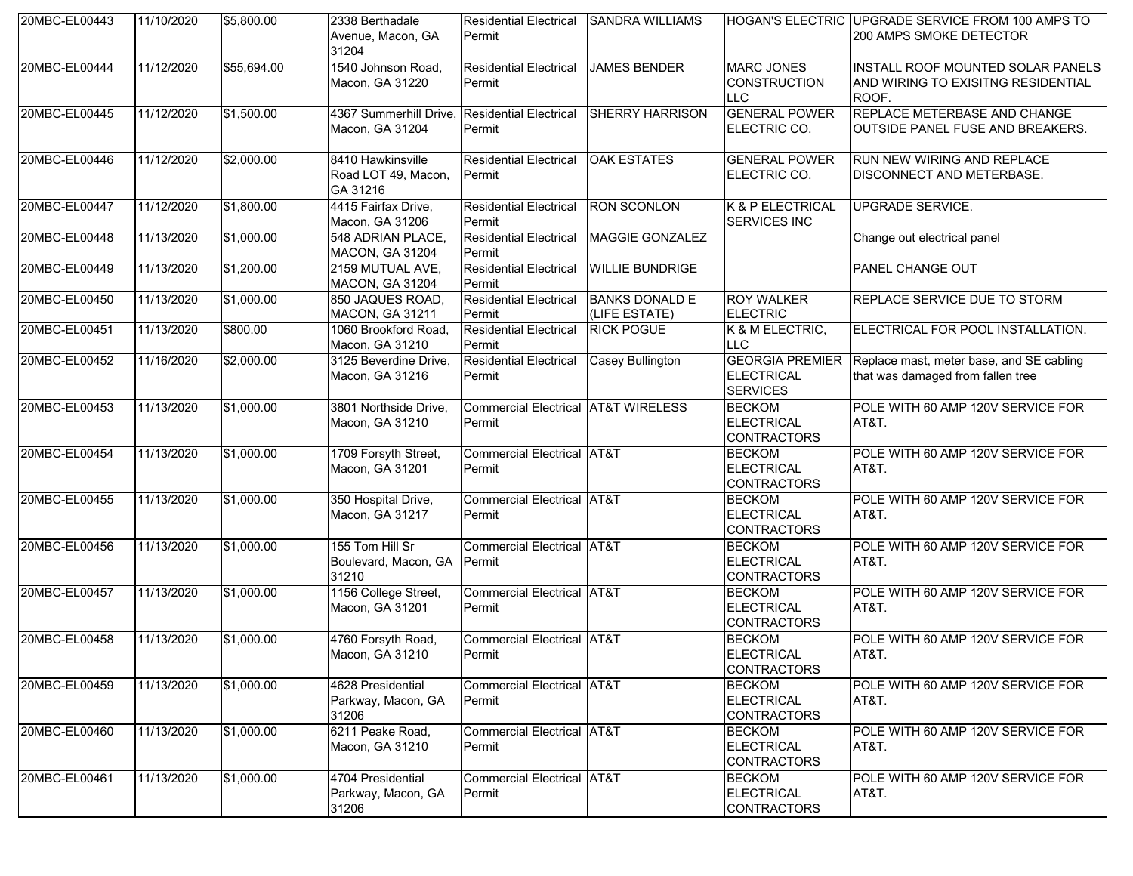| 20MBC-EL00443 | 11/10/2020 | \$5,800.00  | 2338 Berthadale<br>Avenue, Macon, GA<br>31204        | <b>Residential Electrical</b><br>Permit                  | <b>SANDRA WILLIAMS</b>                 |                                                           | HOGAN'S ELECTRIC UPGRADE SERVICE FROM 100 AMPS TO<br>200 AMPS SMOKE DETECTOR                  |
|---------------|------------|-------------|------------------------------------------------------|----------------------------------------------------------|----------------------------------------|-----------------------------------------------------------|-----------------------------------------------------------------------------------------------|
| 20MBC-EL00444 | 11/12/2020 | \$55,694.00 | 1540 Johnson Road,<br>Macon, GA 31220                | <b>Residential Electrical</b><br>Permit                  | <b>JAMES BENDER</b>                    | <b>MARC JONES</b><br><b>CONSTRUCTION</b><br><b>LLC</b>    | <b>INSTALL ROOF MOUNTED SOLAR PANELS</b><br>AND WIRING TO EXISITNG RESIDENTIAL<br>ROOF.       |
| 20MBC-EL00445 | 11/12/2020 | \$1,500.00  | 4367 Summerhill Drive,<br>Macon, GA 31204            | <b>Residential Electrical</b><br>Permit                  | <b>SHERRY HARRISON</b>                 | <b>GENERAL POWER</b><br>ELECTRIC CO.                      | <b>REPLACE METERBASE AND CHANGE</b><br><b>OUTSIDE PANEL FUSE AND BREAKERS.</b>                |
| 20MBC-EL00446 | 11/12/2020 | \$2,000.00  | 8410 Hawkinsville<br>Road LOT 49, Macon,<br>GA 31216 | <b>Residential Electrical</b><br>Permit                  | <b>OAK ESTATES</b>                     | <b>GENERAL POWER</b><br>ELECTRIC CO.                      | <b>RUN NEW WIRING AND REPLACE</b><br><b>DISCONNECT AND METERBASE.</b>                         |
| 20MBC-EL00447 | 11/12/2020 | \$1,800.00  | 4415 Fairfax Drive,<br>Macon, GA 31206               | <b>Residential Electrical</b><br>Permit                  | <b>RON SCONLON</b>                     | K & P ELECTRICAL<br><b>SERVICES INC</b>                   | <b>UPGRADE SERVICE.</b>                                                                       |
| 20MBC-EL00448 | 11/13/2020 | \$1,000.00  | 548 ADRIAN PLACE,<br>MACON, GA 31204                 | <b>Residential Electrical</b><br>Permit                  | <b>MAGGIE GONZALEZ</b>                 |                                                           | Change out electrical panel                                                                   |
| 20MBC-EL00449 | 11/13/2020 | \$1,200.00  | 2159 MUTUAL AVE,<br>MACON, GA 31204                  | <b>Residential Electrical</b><br>Permit                  | <b>WILLIE BUNDRIGE</b>                 |                                                           | <b>PANEL CHANGE OUT</b>                                                                       |
| 20MBC-EL00450 | 11/13/2020 | \$1,000.00  | 850 JAQUES ROAD,<br><b>MACON, GA 31211</b>           | <b>Residential Electrical</b><br>Permit                  | <b>BANKS DONALD E</b><br>(LIFE ESTATE) | <b>ROY WALKER</b><br><b>ELECTRIC</b>                      | REPLACE SERVICE DUE TO STORM                                                                  |
| 20MBC-EL00451 | 11/13/2020 | \$800.00    | 1060 Brookford Road,<br>Macon, GA 31210              | <b>Residential Electrical</b><br>Permit                  | <b>RICK POGUE</b>                      | K & M ELECTRIC,<br><b>LLC</b>                             | ELECTRICAL FOR POOL INSTALLATION.                                                             |
| 20MBC-EL00452 | 11/16/2020 | \$2,000.00  | 3125 Beverdine Drive,<br>Macon, GA 31216             | <b>Residential Electrical</b><br>Permit                  | <b>Casey Bullington</b>                | <b>ELECTRICAL</b><br><b>SERVICES</b>                      | GEORGIA PREMIER Replace mast, meter base, and SE cabling<br>that was damaged from fallen tree |
| 20MBC-EL00453 | 11/13/2020 | \$1,000.00  | 3801 Northside Drive,<br>Macon, GA 31210             | <b>Commercial Electrical AT&amp;T WIRELESS</b><br>Permit |                                        | <b>BECKOM</b><br><b>ELECTRICAL</b><br><b>CONTRACTORS</b>  | POLE WITH 60 AMP 120V SERVICE FOR<br>AT&T.                                                    |
| 20MBC-EL00454 | 11/13/2020 | \$1,000.00  | 1709 Forsyth Street,<br>Macon, GA 31201              | <b>Commercial Electrical AT&amp;T</b><br>Permit          |                                        | <b>BECKOM</b><br><b>ELECTRICAL</b><br><b>CONTRACTORS</b>  | POLE WITH 60 AMP 120V SERVICE FOR<br>AT&T.                                                    |
| 20MBC-EL00455 | 11/13/2020 | \$1,000.00  | 350 Hospital Drive,<br>Macon, GA 31217               | Commercial Electrical AT&T<br>Permit                     |                                        | <b>BECKOM</b><br><b>ELECTRICAL</b><br><b>CONTRACTORS</b>  | POLE WITH 60 AMP 120V SERVICE FOR<br>AT&T.                                                    |
| 20MBC-EL00456 | 11/13/2020 | \$1,000.00  | 155 Tom Hill Sr<br>Boulevard, Macon, GA<br>31210     | <b>Commercial Electrical AT&amp;T</b><br>Permit          |                                        | <b>BECKOM</b><br><b>ELECTRICAL</b><br><b>CONTRACTORS</b>  | POLE WITH 60 AMP 120V SERVICE FOR<br>AT&T.                                                    |
| 20MBC-EL00457 | 11/13/2020 | \$1,000.00  | 1156 College Street,<br>Macon, GA 31201              | <b>Commercial Electrical AT&amp;T</b><br>Permit          |                                        | <b>BECKOM</b><br><b>ELECTRICAL</b><br><b>CONTRACTORS</b>  | POLE WITH 60 AMP 120V SERVICE FOR<br>AT&T.                                                    |
| 20MBC-EL00458 | 11/13/2020 | \$1,000.00  | 4760 Forsyth Road,<br>Macon, GA 31210                | <b>Commercial Electrical AT&amp;T</b><br>Permit          |                                        | <b>BECKOM</b><br><b>FI FCTRICAL</b><br><b>CONTRACTORS</b> | POLE WITH 60 AMP 120V SERVICE FOR<br>AT&T.                                                    |
| 20MBC-EL00459 | 11/13/2020 | \$1,000.00  | 4628 Presidential<br>Parkway, Macon, GA<br>31206     | Commercial Electrical AT&T<br>Permit                     |                                        | <b>BECKOM</b><br><b>ELECTRICAL</b><br><b>CONTRACTORS</b>  | POLE WITH 60 AMP 120V SERVICE FOR<br>AT&T.                                                    |
| 20MBC-EL00460 | 11/13/2020 | \$1,000.00  | 6211 Peake Road,<br>Macon, GA 31210                  | <b>Commercial Electrical AT&amp;T</b><br>Permit          |                                        | <b>BECKOM</b><br><b>ELECTRICAL</b><br><b>CONTRACTORS</b>  | POLE WITH 60 AMP 120V SERVICE FOR<br>AT&T.                                                    |
| 20MBC-EL00461 | 11/13/2020 | \$1,000.00  | 4704 Presidential<br>Parkway, Macon, GA<br>31206     | Commercial Electrical AT&T<br>Permit                     |                                        | <b>BECKOM</b><br><b>ELECTRICAL</b><br><b>CONTRACTORS</b>  | POLE WITH 60 AMP 120V SERVICE FOR<br>AT&T.                                                    |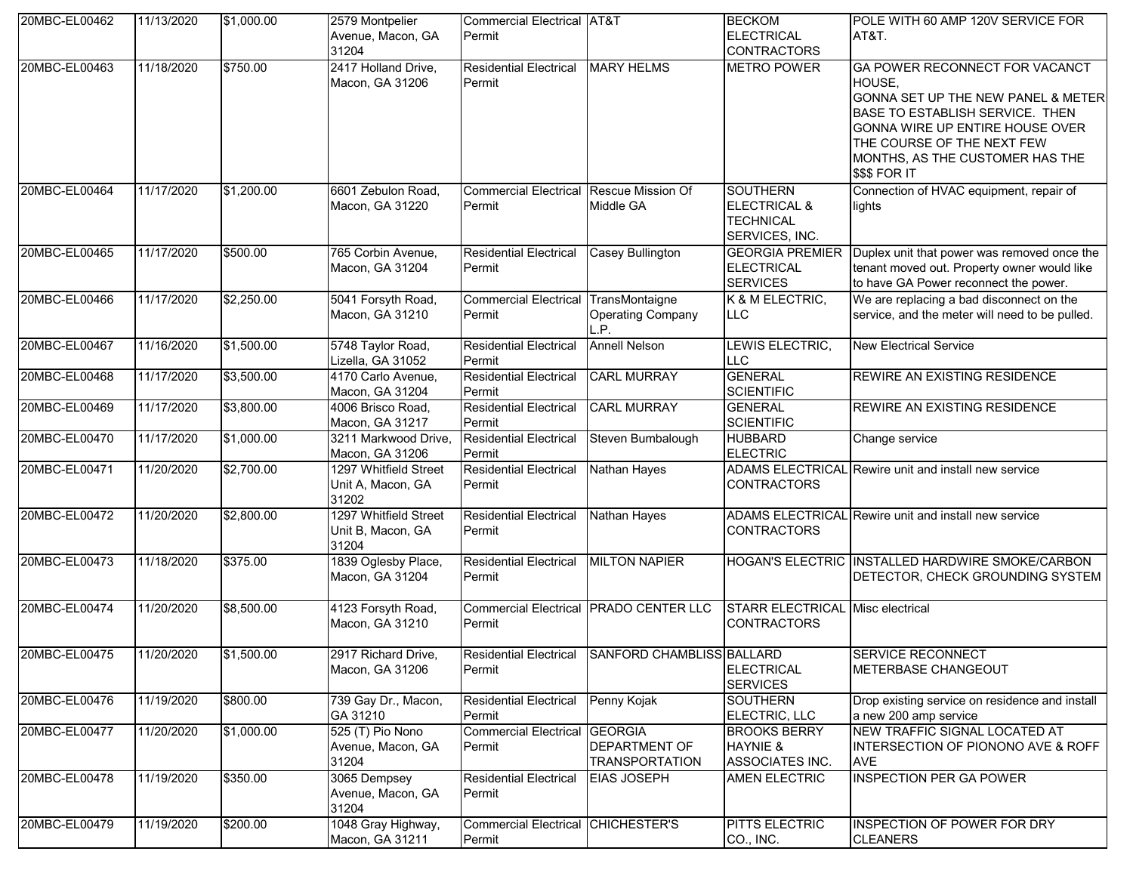| 20MBC-EL00462            | 11/13/2020 | \$1,000.00 | 2579 Montpelier<br>Avenue, Macon, GA<br>31204       | Commercial Electrical AT&T<br>Permit                |                                                  | <b>BECKOM</b><br><b>ELECTRICAL</b><br><b>CONTRACTORS</b>                         | POLE WITH 60 AMP 120V SERVICE FOR<br>AT&T.                                                                                                                                                                                             |
|--------------------------|------------|------------|-----------------------------------------------------|-----------------------------------------------------|--------------------------------------------------|----------------------------------------------------------------------------------|----------------------------------------------------------------------------------------------------------------------------------------------------------------------------------------------------------------------------------------|
| 20MBC-EL00463            | 11/18/2020 | \$750.00   | 2417 Holland Drive,<br>Macon, GA 31206              | <b>Residential Electrical</b><br>Permit             | <b>MARY HELMS</b>                                | <b>METRO POWER</b>                                                               | GA POWER RECONNECT FOR VACANCT<br>HOUSE,<br>GONNA SET UP THE NEW PANEL & METER<br>BASE TO ESTABLISH SERVICE. THEN<br>GONNA WIRE UP ENTIRE HOUSE OVER<br>THE COURSE OF THE NEXT FEW<br>MONTHS, AS THE CUSTOMER HAS THE<br>\$\$\$ FOR IT |
| 20MBC-EL00464            | 11/17/2020 | \$1,200.00 | 6601 Zebulon Road,<br>Macon, GA 31220               | Commercial Electrical Rescue Mission Of<br>Permit   | Middle GA                                        | <b>SOUTHERN</b><br><b>ELECTRICAL &amp;</b><br><b>TECHNICAL</b><br>SERVICES, INC. | Connection of HVAC equipment, repair of<br>lights                                                                                                                                                                                      |
| 20MBC-EL00465            | 11/17/2020 | \$500.00   | 765 Corbin Avenue,<br>Macon, GA 31204               | <b>Residential Electrical</b><br>Permit             | <b>Casey Bullington</b>                          | <b>GEORGIA PREMIER</b><br><b>ELECTRICAL</b><br><b>SERVICES</b>                   | Duplex unit that power was removed once the<br>tenant moved out. Property owner would like<br>to have GA Power reconnect the power.                                                                                                    |
| 20MBC-EL00466            | 11/17/2020 | \$2,250.00 | 5041 Forsyth Road,<br>Macon, GA 31210               | Commercial Electrical TransMontaigne<br>Permit      | <b>Operating Company</b><br>L.P.                 | K & M ELECTRIC,<br>LLC.                                                          | We are replacing a bad disconnect on the<br>service, and the meter will need to be pulled.                                                                                                                                             |
| 20MBC-EL00467            | 11/16/2020 | \$1,500.00 | 5748 Taylor Road,<br>Lizella, GA 31052              | <b>Residential Electrical</b><br>Permit             | <b>Annell Nelson</b>                             | LEWIS ELECTRIC,<br>LLC                                                           | <b>New Electrical Service</b>                                                                                                                                                                                                          |
| 20MBC-EL00468            | 11/17/2020 | \$3,500.00 | 4170 Carlo Avenue,<br>Macon, GA 31204               | <b>Residential Electrical</b><br>Permit             | <b>CARL MURRAY</b>                               | <b>GENERAL</b><br><b>SCIENTIFIC</b>                                              | REWIRE AN EXISTING RESIDENCE                                                                                                                                                                                                           |
| 20MBC-EL00469            | 11/17/2020 | \$3,800.00 | 4006 Brisco Road,<br>Macon, GA 31217                | <b>Residential Electrical</b><br>Permit             | <b>CARL MURRAY</b>                               | <b>GENERAL</b><br><b>SCIENTIFIC</b>                                              | <b>REWIRE AN EXISTING RESIDENCE</b>                                                                                                                                                                                                    |
| 20MBC-EL00470            | 11/17/2020 | \$1,000.00 | 3211 Markwood Drive,<br>Macon, GA 31206             | <b>Residential Electrical</b><br>Permit             | Steven Bumbalough                                | <b>HUBBARD</b><br><b>ELECTRIC</b>                                                | Change service                                                                                                                                                                                                                         |
| 20MBC-EL00471            | 11/20/2020 | \$2,700.00 | 1297 Whitfield Street<br>Unit A, Macon, GA<br>31202 | <b>Residential Electrical</b><br>Permit             | Nathan Hayes                                     | <b>CONTRACTORS</b>                                                               | ADAMS ELECTRICAL Rewire unit and install new service                                                                                                                                                                                   |
| 20MBC-EL00472            | 11/20/2020 | \$2,800.00 | 1297 Whitfield Street<br>Unit B, Macon, GA<br>31204 | <b>Residential Electrical</b><br>Permit             | Nathan Hayes                                     | <b>CONTRACTORS</b>                                                               | ADAMS ELECTRICAL Rewire unit and install new service                                                                                                                                                                                   |
| 20MBC-EL00473            | 11/18/2020 | \$375.00   | 1839 Oglesby Place,<br>Macon, GA 31204              | <b>Residential Electrical</b><br>Permit             | <b>MILTON NAPIER</b>                             |                                                                                  | HOGAN'S ELECTRIC INSTALLED HARDWIRE SMOKE/CARBON<br>DETECTOR, CHECK GROUNDING SYSTEM                                                                                                                                                   |
| 20MBC-EL00474            | 11/20/2020 | \$8,500.00 | 4123 Forsyth Road,<br>Macon, GA 31210               | Permit                                              | Commercial Electrical PRADO CENTER LLC           | STARR ELECTRICAL Misc electrical<br><b>CONTRACTORS</b>                           |                                                                                                                                                                                                                                        |
| 20MBC-EL00475 11/20/2020 |            | \$1,500.00 | 2917 Richard Drive,<br>Macon, GA 31206              | Permit                                              | Residential Electrical SANFORD CHAMBLISS BALLARD | <b>ELECTRICAL</b><br><b>SERVICES</b>                                             | <b>SERVICE RECONNECT</b><br>METERBASE CHANGEOUT                                                                                                                                                                                        |
| 20MBC-EL00476            | 11/19/2020 | \$800.00   | 739 Gay Dr., Macon,<br>GA 31210                     | <b>Residential Electrical</b><br>Permit             | Penny Kojak                                      | SOUTHERN<br>ELECTRIC, LLC                                                        | Drop existing service on residence and install<br>a new 200 amp service                                                                                                                                                                |
| 20MBC-EL00477            | 11/20/2020 | \$1,000.00 | 525 (T) Pio Nono<br>Avenue, Macon, GA<br>31204      | <b>Commercial Electrical GEORGIA</b><br>Permit      | <b>DEPARTMENT OF</b><br><b>TRANSPORTATION</b>    | <b>BROOKS BERRY</b><br><b>HAYNIE &amp;</b><br>ASSOCIATES INC.                    | NEW TRAFFIC SIGNAL LOCATED AT<br>INTERSECTION OF PIONONO AVE & ROFF<br><b>AVE</b>                                                                                                                                                      |
| 20MBC-EL00478            | 11/19/2020 | \$350.00   | 3065 Dempsey<br>Avenue, Macon, GA<br>31204          | <b>Residential Electrical</b><br>Permit             | <b>EIAS JOSEPH</b>                               | <b>AMEN ELECTRIC</b>                                                             | <b>INSPECTION PER GA POWER</b>                                                                                                                                                                                                         |
| 20MBC-EL00479            | 11/19/2020 | \$200.00   | 1048 Gray Highway,<br>Macon, GA 31211               | <b>Commercial Electrical CHICHESTER'S</b><br>Permit |                                                  | PITTS ELECTRIC<br>CO., INC.                                                      | <b>INSPECTION OF POWER FOR DRY</b><br><b>CLEANERS</b>                                                                                                                                                                                  |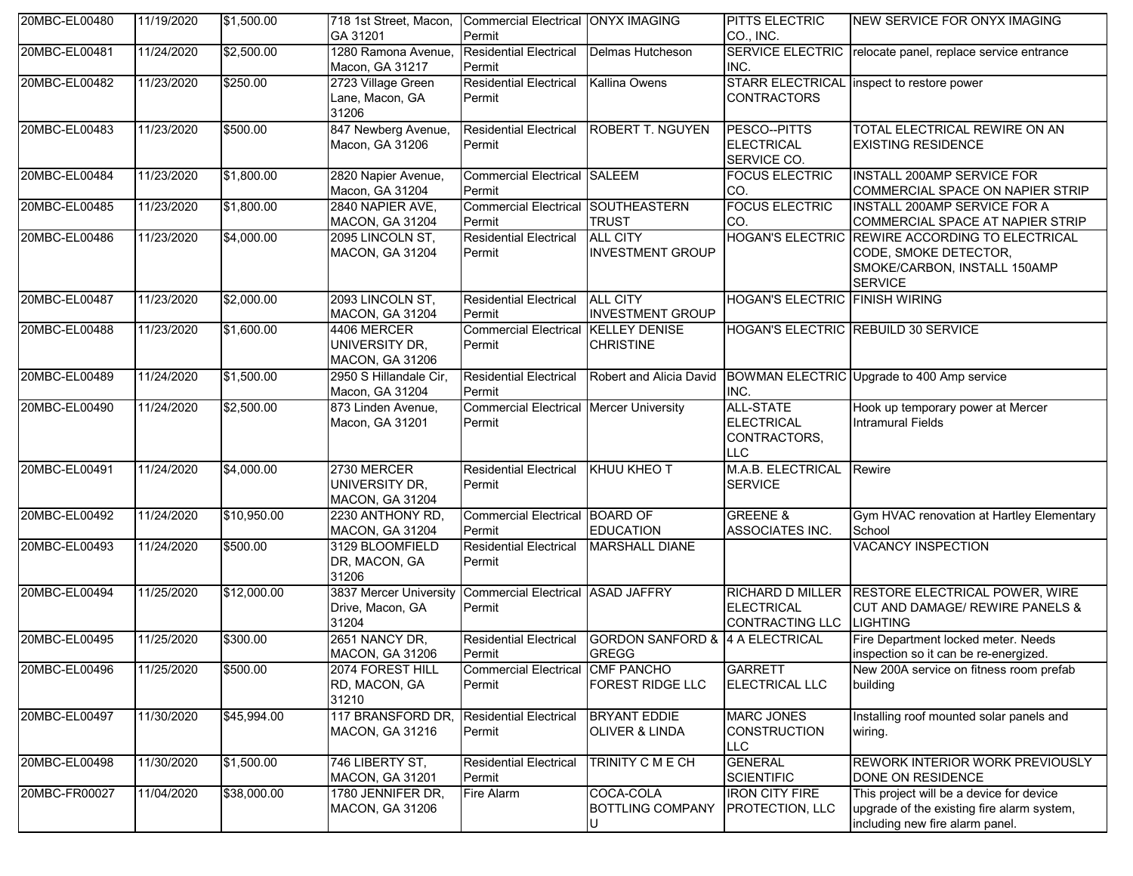| 20MBC-EL00480 | 11/19/2020 | \$1,500.00  | 718 1st Street, Macon,<br>GA 31201                      | Commercial Electrical ONYX IMAGING<br>Permit             |                                                                        | PITTS ELECTRIC<br>CO., INC.                                         | NEW SERVICE FOR ONYX IMAGING                                                                                               |
|---------------|------------|-------------|---------------------------------------------------------|----------------------------------------------------------|------------------------------------------------------------------------|---------------------------------------------------------------------|----------------------------------------------------------------------------------------------------------------------------|
| 20MBC-EL00481 | 11/24/2020 | \$2,500.00  | 1280 Ramona Avenue,<br>Macon, GA 31217                  | <b>Residential Electrical</b><br>Permit                  | Delmas Hutcheson                                                       | <b>SERVICE ELECTRIC</b><br>INC.                                     | relocate panel, replace service entrance                                                                                   |
| 20MBC-EL00482 | 11/23/2020 | \$250.00    | 2723 Village Green<br>Lane, Macon, GA<br>31206          | <b>Residential Electrical</b><br>Permit                  | Kallina Owens                                                          | <b>CONTRACTORS</b>                                                  | STARR ELECTRICAL inspect to restore power                                                                                  |
| 20MBC-EL00483 | 11/23/2020 | \$500.00    | 847 Newberg Avenue,<br>Macon, GA 31206                  | <b>Residential Electrical</b><br>Permit                  | <b>ROBERT T. NGUYEN</b>                                                | PESCO--PITTS<br><b>ELECTRICAL</b><br>SERVICE CO.                    | TOTAL ELECTRICAL REWIRE ON AN<br><b>EXISTING RESIDENCE</b>                                                                 |
| 20MBC-EL00484 | 11/23/2020 | \$1,800.00  | 2820 Napier Avenue,<br>Macon, GA 31204                  | Commercial Electrical SALEEM<br>Permit                   |                                                                        | <b>FOCUS ELECTRIC</b><br>CO.                                        | INSTALL 200AMP SERVICE FOR<br>COMMERCIAL SPACE ON NAPIER STRIP                                                             |
| 20MBC-EL00485 | 11/23/2020 | \$1,800.00  | 2840 NAPIER AVE,<br>MACON, GA 31204                     | <b>Commercial Electrical SOUTHEASTERN</b><br>Permit      | <b>TRUST</b>                                                           | <b>FOCUS ELECTRIC</b><br>CO.                                        | <b>INSTALL 200AMP SERVICE FOR A</b><br>COMMERCIAL SPACE AT NAPIER STRIP                                                    |
| 20MBC-EL00486 | 11/23/2020 | \$4,000.00  | 2095 LINCOLN ST,<br><b>MACON, GA 31204</b>              | <b>Residential Electrical</b><br>Permit                  | <b>ALL CITY</b><br><b>INVESTMENT GROUP</b>                             |                                                                     | HOGAN'S ELECTRIC REWIRE ACCORDING TO ELECTRICAL<br>CODE, SMOKE DETECTOR,<br>SMOKE/CARBON, INSTALL 150AMP<br><b>SERVICE</b> |
| 20MBC-EL00487 | 11/23/2020 | \$2,000.00  | 2093 LINCOLN ST,<br>MACON, GA 31204                     | Residential Electrical ALL CITY<br>Permit                | <b>INVESTMENT GROUP</b>                                                | <b>HOGAN'S ELECTRIC FINISH WIRING</b>                               |                                                                                                                            |
| 20MBC-EL00488 | 11/23/2020 | \$1,600.00  | 4406 MERCER<br>UNIVERSITY DR.<br><b>MACON, GA 31206</b> | <b>Commercial Electrical KELLEY DENISE</b><br>Permit     | <b>CHRISTINE</b>                                                       |                                                                     | HOGAN'S ELECTRIC REBUILD 30 SERVICE                                                                                        |
| 20MBC-EL00489 | 11/24/2020 | \$1,500.00  | 2950 S Hillandale Cir.<br>Macon, GA 31204               | <b>Residential Electrical</b><br>Permit                  | Robert and Alicia David                                                | INC.                                                                | BOWMAN ELECTRIC Upgrade to 400 Amp service                                                                                 |
| 20MBC-EL00490 | 11/24/2020 | \$2,500.00  | 873 Linden Avenue,<br>Macon, GA 31201                   | <b>Commercial Electrical Mercer University</b><br>Permit |                                                                        | <b>ALL-STATE</b><br><b>ELECTRICAL</b><br>CONTRACTORS,<br><b>LLC</b> | Hook up temporary power at Mercer<br>Intramural Fields                                                                     |
| 20MBC-EL00491 | 11/24/2020 | \$4,000.00  | 2730 MERCER<br>UNIVERSITY DR,<br><b>MACON, GA 31204</b> | Residential Electrical KHUU KHEO T<br>Permit             |                                                                        | M.A.B. ELECTRICAL<br><b>SERVICE</b>                                 | Rewire                                                                                                                     |
| 20MBC-EL00492 | 11/24/2020 | \$10,950.00 | 2230 ANTHONY RD,<br><b>MACON, GA 31204</b>              | Commercial Electrical BOARD OF<br>Permit                 | <b>EDUCATION</b>                                                       | <b>GREENE &amp;</b><br>ASSOCIATES INC.                              | Gym HVAC renovation at Hartley Elementary<br>School                                                                        |
| 20MBC-EL00493 | 11/24/2020 | \$500.00    | 3129 BLOOMFIELD<br>DR, MACON, GA<br>31206               | <b>Residential Electrical</b><br>Permit                  | <b>MARSHALL DIANE</b>                                                  |                                                                     | VACANCY INSPECTION                                                                                                         |
| 20MBC-EL00494 | 11/25/2020 | \$12,000.00 | 3837 Mercer University<br>Drive, Macon, GA<br>31204     | <b>Commercial Electrical ASAD JAFFRY</b><br>Permit       |                                                                        | <b>ELECTRICAL</b><br>CONTRACTING LLC                                | RICHARD D MILLER RESTORE ELECTRICAL POWER, WIRE<br>CUT AND DAMAGE/ REWIRE PANELS &<br><b>LIGHTING</b>                      |
| 20MBC-EL00495 | 11/25/2020 | \$300.00    | 2651 NANCY DR,<br><b>MACON, GA 31206</b>                | Permit                                                   | Residential Electrical GORDON SANFORD & 4 A ELECTRICAL<br><b>GREGG</b> |                                                                     | Fire Department locked meter. Needs<br>inspection so it can be re-energized.                                               |
| 20MBC-EL00496 | 11/25/2020 | \$500.00    | 2074 FOREST HILL<br>RD, MACON, GA<br>31210              | <b>Commercial Electrical</b><br>Permit                   | <b>CMF PANCHO</b><br><b>FOREST RIDGE LLC</b>                           | <b>GARRETT</b><br>ELECTRICAL LLC                                    | New 200A service on fitness room prefab<br>building                                                                        |
| 20MBC-EL00497 | 11/30/2020 | \$45,994.00 | 117 BRANSFORD DR,<br><b>MACON, GA 31216</b>             | <b>Residential Electrical</b><br>Permit                  | <b>BRYANT EDDIE</b><br><b>OLIVER &amp; LINDA</b>                       | <b>MARC JONES</b><br><b>CONSTRUCTION</b><br>LLC                     | Installing roof mounted solar panels and<br>wiring.                                                                        |
| 20MBC-EL00498 | 11/30/2020 | \$1,500.00  | 746 LIBERTY ST,<br><b>MACON, GA 31201</b>               | <b>Residential Electrical</b><br>Permit                  | TRINITY C M E CH                                                       | <b>GENERAL</b><br><b>SCIENTIFIC</b>                                 | <b>REWORK INTERIOR WORK PREVIOUSLY</b><br>DONE ON RESIDENCE                                                                |
| 20MBC-FR00027 | 11/04/2020 | \$38,000.00 | 1780 JENNIFER DR,<br><b>MACON, GA 31206</b>             | Fire Alarm                                               | COCA-COLA<br><b>BOTTLING COMPANY</b>                                   | <b>IRON CITY FIRE</b><br>PROTECTION, LLC                            | This project will be a device for device<br>upgrade of the existing fire alarm system,<br>including new fire alarm panel.  |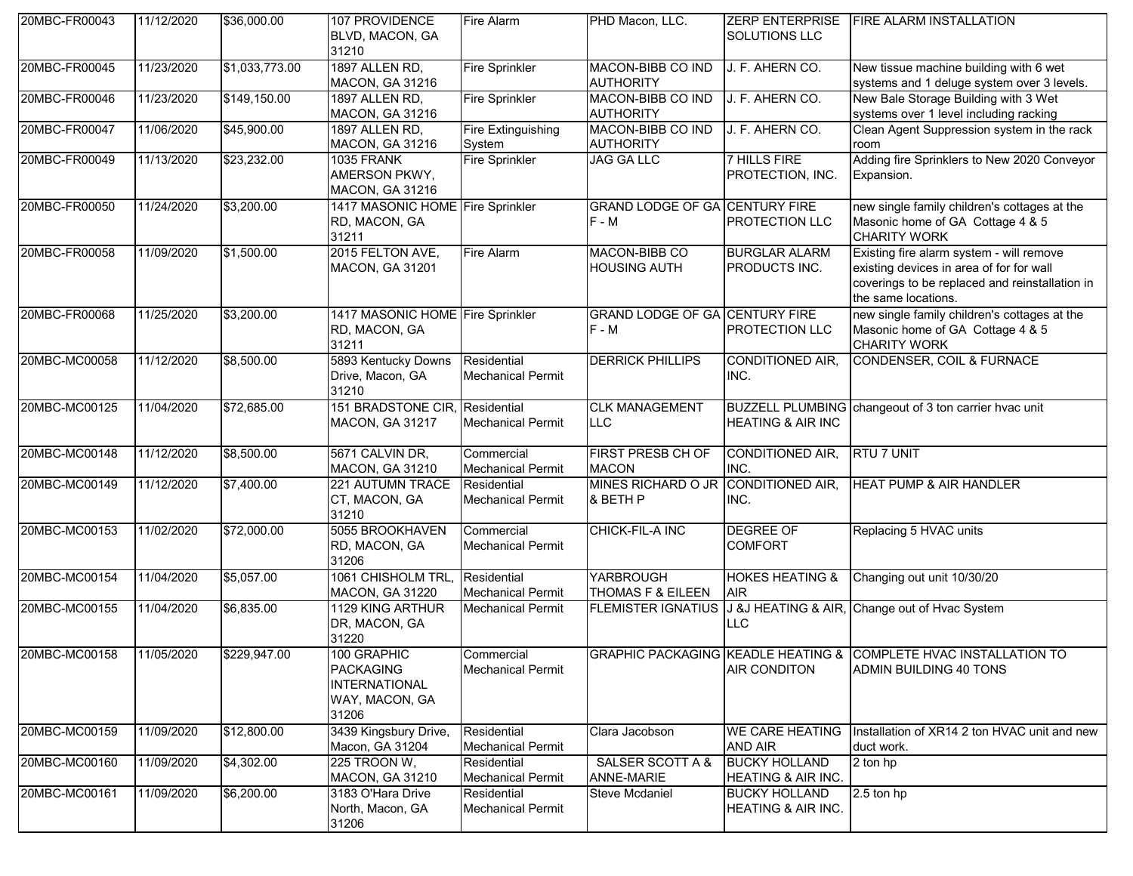| 20MBC-FR00043 | 11/12/2020 | \$36,000.00    | 107 PROVIDENCE<br>BLVD, MACON, GA<br>31210                                         | Fire Alarm                              | PHD Macon, LLC.                                  | SOLUTIONS LLC                              | ZERP ENTERPRISE   FIRE ALARM INSTALLATION                                                                                                                     |
|---------------|------------|----------------|------------------------------------------------------------------------------------|-----------------------------------------|--------------------------------------------------|--------------------------------------------|---------------------------------------------------------------------------------------------------------------------------------------------------------------|
| 20MBC-FR00045 | 11/23/2020 | \$1,033,773.00 | 1897 ALLEN RD,<br><b>MACON, GA 31216</b>                                           | <b>Fire Sprinkler</b>                   | MACON-BIBB CO IND<br><b>AUTHORITY</b>            | J. F. AHERN CO.                            | New tissue machine building with 6 wet<br>systems and 1 deluge system over 3 levels.                                                                          |
| 20MBC-FR00046 | 11/23/2020 | \$149,150.00   | 1897 ALLEN RD,<br>MACON, GA 31216                                                  | <b>Fire Sprinkler</b>                   | MACON-BIBB CO IND<br><b>AUTHORITY</b>            | J. F. AHERN CO.                            | New Bale Storage Building with 3 Wet<br>systems over 1 level including racking                                                                                |
| 20MBC-FR00047 | 11/06/2020 | \$45,900.00    | 1897 ALLEN RD,<br>MACON, GA 31216                                                  | <b>Fire Extinguishing</b><br>System     | MACON-BIBB CO IND<br><b>AUTHORITY</b>            | J. F. AHERN CO.                            | Clean Agent Suppression system in the rack<br>room                                                                                                            |
| 20MBC-FR00049 | 11/13/2020 | \$23,232.00    | 1035 FRANK<br>AMERSON PKWY,<br><b>MACON, GA 31216</b>                              | <b>Fire Sprinkler</b>                   | <b>JAG GA LLC</b>                                | <b>7 HILLS FIRE</b><br>PROTECTION, INC.    | Adding fire Sprinklers to New 2020 Conveyor<br>Expansion.                                                                                                     |
| 20MBC-FR00050 | 11/24/2020 | \$3,200.00     | 1417 MASONIC HOME Fire Sprinkler<br>RD, MACON, GA<br>31211                         |                                         | <b>GRAND LODGE OF GA CENTURY FIRE</b><br>$F - M$ | PROTECTION LLC                             | new single family children's cottages at the<br>Masonic home of GA Cottage 4 & 5<br><b>CHARITY WORK</b>                                                       |
| 20MBC-FR00058 | 11/09/2020 | \$1,500.00     | 2015 FELTON AVE,<br><b>MACON, GA 31201</b>                                         | Fire Alarm                              | MACON-BIBB CO<br><b>HOUSING AUTH</b>             | <b>BURGLAR ALARM</b><br>PRODUCTS INC.      | Existing fire alarm system - will remove<br>existing devices in area of for for wall<br>coverings to be replaced and reinstallation in<br>the same locations. |
| 20MBC-FR00068 | 11/25/2020 | \$3,200.00     | 1417 MASONIC HOME Fire Sprinkler<br>RD, MACON, GA<br>31211                         |                                         | <b>GRAND LODGE OF GA CENTURY FIRE</b><br>$F - M$ | PROTECTION LLC                             | new single family children's cottages at the<br>Masonic home of GA Cottage 4 & 5<br><b>CHARITY WORK</b>                                                       |
| 20MBC-MC00058 | 11/12/2020 | \$8,500.00     | 5893 Kentucky Downs<br>Drive, Macon, GA<br>31210                                   | Residential<br><b>Mechanical Permit</b> | <b>DERRICK PHILLIPS</b>                          | CONDITIONED AIR,<br>INC.                   | <b>CONDENSER, COIL &amp; FURNACE</b>                                                                                                                          |
| 20MBC-MC00125 | 11/04/2020 | \$72,685.00    | 151 BRADSTONE CIR, Residential<br><b>MACON, GA 31217</b>                           | <b>Mechanical Permit</b>                | <b>CLK MANAGEMENT</b><br><b>LLC</b>              | <b>HEATING &amp; AIR INC</b>               | BUZZELL PLUMBING changeout of 3 ton carrier hvac unit                                                                                                         |
| 20MBC-MC00148 | 11/12/2020 | \$8,500.00     | 5671 CALVIN DR,<br>MACON, GA 31210                                                 | Commercial<br><b>Mechanical Permit</b>  | <b>FIRST PRESB CH OF</b><br><b>MACON</b>         | CONDITIONED AIR,<br>INC.                   | <b>RTU 7 UNIT</b>                                                                                                                                             |
| 20MBC-MC00149 | 11/12/2020 | \$7,400.00     | 221 AUTUMN TRACE<br>CT, MACON, GA<br>31210                                         | Residential<br><b>Mechanical Permit</b> | MINES RICHARD O JR CONDITIONED AIR,<br>& BETH P  | INC.                                       | <b>HEAT PUMP &amp; AIR HANDLER</b>                                                                                                                            |
| 20MBC-MC00153 | 11/02/2020 | \$72,000.00    | 5055 BROOKHAVEN<br>RD, MACON, GA<br>31206                                          | Commercial<br><b>Mechanical Permit</b>  | CHICK-FIL-A INC                                  | <b>DEGREE OF</b><br><b>COMFORT</b>         | Replacing 5 HVAC units                                                                                                                                        |
| 20MBC-MC00154 | 11/04/2020 | \$5,057.00     | 1061 CHISHOLM TRL,<br><b>MACON, GA 31220</b>                                       | Residential<br><b>Mechanical Permit</b> | <b>YARBROUGH</b><br>THOMAS F & EILEEN            | <b>HOKES HEATING &amp;</b><br><b>AIR</b>   | Changing out unit 10/30/20                                                                                                                                    |
| 20MBC-MC00155 | 11/04/2020 | \$6,835.00     | 1129 KING ARTHUR<br>DR, MACON, GA<br>31220                                         | <b>Mechanical Permit</b>                | <b>FLEMISTER IGNATIUS</b>                        | <b>LLC</b>                                 | J &J HEATING & AIR, Change out of Hvac System                                                                                                                 |
| 20MBC-MC00158 | 11/05/2020 | \$229,947.00   | 100 GRAPHIC<br><b>PACKAGING</b><br><b>INTERNATIONAL</b><br>WAY, MACON, GA<br>31206 | Commercial<br><b>Mechanical Permit</b>  |                                                  | AIR CONDITON                               | GRAPHIC PACKAGING KEADLE HEATING & COMPLETE HVAC INSTALLATION TO<br>ADMIN BUILDING 40 TONS                                                                    |
| 20MBC-MC00159 | 11/09/2020 | \$12,800.00    | 3439 Kingsbury Drive,<br>Macon, GA 31204                                           | Residential<br><b>Mechanical Permit</b> | Clara Jacobson                                   | <b>WE CARE HEATING</b><br>AND AIR          | Installation of XR14 2 ton HVAC unit and new<br>duct work.                                                                                                    |
| 20MBC-MC00160 | 11/09/2020 | \$4,302.00     | 225 TROON W,<br><b>MACON, GA 31210</b>                                             | Residential<br><b>Mechanical Permit</b> | SALSER SCOTT A &<br>ANNE-MARIE                   | <b>BUCKY HOLLAND</b><br>HEATING & AIR INC. | 2 ton hp                                                                                                                                                      |
| 20MBC-MC00161 | 11/09/2020 | \$6,200.00     | 3183 O'Hara Drive<br>North, Macon, GA<br>31206                                     | Residential<br><b>Mechanical Permit</b> | <b>Steve Mcdaniel</b>                            | <b>BUCKY HOLLAND</b><br>HEATING & AIR INC. | 2.5 ton hp                                                                                                                                                    |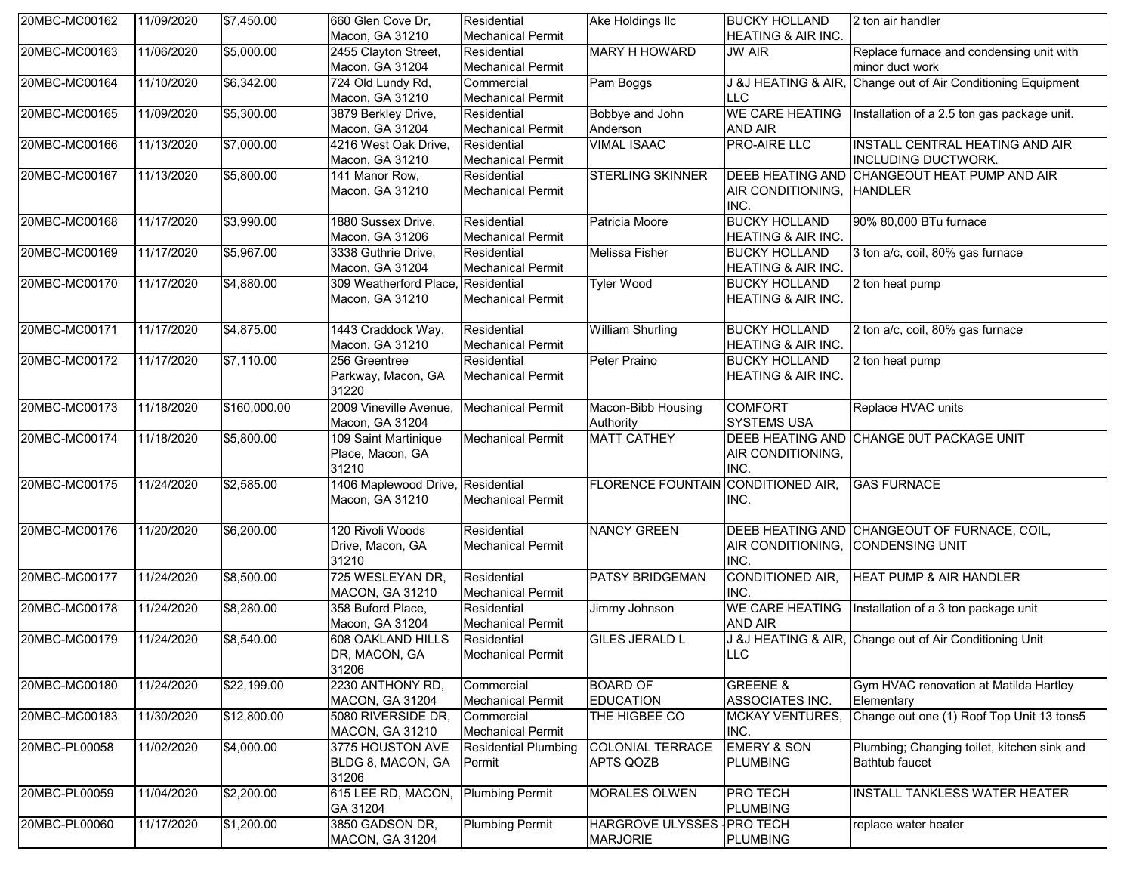| 20MBC-MC00162 | 11/09/2020 | \$7,450.00   | 660 Glen Cove Dr,                                    | Residential                             | Ake Holdings IIc                              | <b>BUCKY HOLLAND</b>                                  | 2 ton air handler                                                      |
|---------------|------------|--------------|------------------------------------------------------|-----------------------------------------|-----------------------------------------------|-------------------------------------------------------|------------------------------------------------------------------------|
|               |            |              | Macon, GA 31210                                      | <b>Mechanical Permit</b>                |                                               | HEATING & AIR INC.                                    |                                                                        |
| 20MBC-MC00163 | 11/06/2020 | \$5,000.00   | 2455 Clayton Street,<br>Macon, GA 31204              | Residential<br><b>Mechanical Permit</b> | <b>MARY H HOWARD</b>                          | <b>JW AIR</b>                                         | Replace furnace and condensing unit with<br>minor duct work            |
| 20MBC-MC00164 | 11/10/2020 | \$6,342.00   | 724 Old Lundy Rd,<br>Macon, GA 31210                 | Commercial<br><b>Mechanical Permit</b>  | Pam Boggs                                     | J &J HEATING & AIR,<br>LLC                            | Change out of Air Conditioning Equipment                               |
| 20MBC-MC00165 | 11/09/2020 | \$5,300.00   | 3879 Berkley Drive,<br>Macon, GA 31204               | Residential<br><b>Mechanical Permit</b> | Bobbye and John<br>Anderson                   | <b>WE CARE HEATING</b><br>AND AIR                     | Installation of a 2.5 ton gas package unit.                            |
| 20MBC-MC00166 | 11/13/2020 | \$7,000.00   | 4216 West Oak Drive,<br>Macon, GA 31210              | Residential<br><b>Mechanical Permit</b> | <b>VIMAL ISAAC</b>                            | <b>PRO-AIRE LLC</b>                                   | INSTALL CENTRAL HEATING AND AIR<br>INCLUDING DUCTWORK.                 |
| 20MBC-MC00167 | 11/13/2020 | \$5,800.00   | 141 Manor Row,<br>Macon, GA 31210                    | Residential<br><b>Mechanical Permit</b> | <b>STERLING SKINNER</b>                       | AIR CONDITIONING, HANDLER<br>INC.                     | DEEB HEATING AND CHANGEOUT HEAT PUMP AND AIR                           |
| 20MBC-MC00168 | 11/17/2020 | \$3,990.00   | 1880 Sussex Drive,<br>Macon, GA 31206                | Residential<br><b>Mechanical Permit</b> | Patricia Moore                                | <b>BUCKY HOLLAND</b><br>HEATING & AIR INC.            | 90% 80,000 BTu furnace                                                 |
| 20MBC-MC00169 | 11/17/2020 | \$5,967.00   | 3338 Guthrie Drive,<br>Macon, GA 31204               | Residential<br><b>Mechanical Permit</b> | Melissa Fisher                                | <b>BUCKY HOLLAND</b><br>HEATING & AIR INC.            | 3 ton a/c, coil, 80% gas furnace                                       |
| 20MBC-MC00170 | 11/17/2020 | \$4,880.00   | 309 Weatherford Place,<br>Macon, GA 31210            | Residential<br><b>Mechanical Permit</b> | <b>Tyler Wood</b>                             | <b>BUCKY HOLLAND</b><br><b>HEATING &amp; AIR INC.</b> | 2 ton heat pump                                                        |
| 20MBC-MC00171 | 11/17/2020 | \$4,875.00   | 1443 Craddock Way,<br>Macon, GA 31210                | Residential<br><b>Mechanical Permit</b> | <b>William Shurling</b>                       | <b>BUCKY HOLLAND</b><br>HEATING & AIR INC.            | 2 ton a/c, coil, 80% gas furnace                                       |
| 20MBC-MC00172 | 11/17/2020 | \$7,110.00   | 256 Greentree<br>Parkway, Macon, GA<br>31220         | Residential<br><b>Mechanical Permit</b> | Peter Praino                                  | <b>BUCKY HOLLAND</b><br><b>HEATING &amp; AIR INC.</b> | 2 ton heat pump                                                        |
| 20MBC-MC00173 | 11/18/2020 | \$160,000.00 | 2009 Vineville Avenue,<br>Macon, GA 31204            | <b>Mechanical Permit</b>                | Macon-Bibb Housing<br>Authority               | <b>COMFORT</b><br><b>SYSTEMS USA</b>                  | Replace HVAC units                                                     |
| 20MBC-MC00174 | 11/18/2020 | \$5,800.00   | 109 Saint Martinique<br>Place, Macon, GA<br>31210    | <b>Mechanical Permit</b>                | <b>MATT CATHEY</b>                            | AIR CONDITIONING,<br>INC.                             | DEEB HEATING AND CHANGE OUT PACKAGE UNIT                               |
| 20MBC-MC00175 | 11/24/2020 | \$2,585.00   | 1406 Maplewood Drive, Residential<br>Macon, GA 31210 | <b>Mechanical Permit</b>                | <b>FLORENCE FOUNTAIN</b>                      | CONDITIONED AIR,<br>INC.                              | <b>GAS FURNACE</b>                                                     |
| 20MBC-MC00176 | 11/20/2020 | \$6,200.00   | 120 Rivoli Woods<br>Drive, Macon, GA<br>31210        | Residential<br><b>Mechanical Permit</b> | <b>NANCY GREEN</b>                            | AIR CONDITIONING,<br>INC.                             | DEEB HEATING AND CHANGEOUT OF FURNACE, COIL,<br><b>CONDENSING UNIT</b> |
| 20MBC-MC00177 | 11/24/2020 | \$8,500.00   | 725 WESLEYAN DR,<br>MACON, GA 31210                  | Residential<br><b>Mechanical Permit</b> | <b>PATSY BRIDGEMAN</b>                        | CONDITIONED AIR,<br>INC.                              | <b>HEAT PUMP &amp; AIR HANDLER</b>                                     |
| 20MBC-MC00178 | 11/24/2020 | \$8,280.00   | 358 Buford Place,<br>Macon, GA 31204                 | Residential<br><b>Mechanical Permit</b> | Jimmy Johnson                                 | <b>WE CARE HEATING</b><br>AND AIR                     | Installation of a 3 ton package unit                                   |
| 20MBC-MC00179 | 11/24/2020 | \$8,540.00   | 608 OAKLAND HILLS<br>DR, MACON, GA<br>31206          | Residential<br><b>Mechanical Permit</b> | <b>GILES JERALD L</b>                         | <b>LLC</b>                                            | J &J HEATING & AIR, Change out of Air Conditioning Unit                |
| 20MBC-MC00180 | 11/24/2020 | \$22,199.00  | 2230 ANTHONY RD,<br>MACON, GA 31204                  | Commercial<br><b>Mechanical Permit</b>  | <b>BOARD OF</b><br><b>EDUCATION</b>           | <b>GREENE &amp;</b><br>ASSOCIATES INC.                | Gym HVAC renovation at Matilda Hartley<br>Elementary                   |
| 20MBC-MC00183 | 11/30/2020 | \$12,800.00  | 5080 RIVERSIDE DR,<br><b>MACON, GA 31210</b>         | Commercial<br><b>Mechanical Permit</b>  | THE HIGBEE CO                                 | <b>MCKAY VENTURES,</b><br>INC.                        | Change out one (1) Roof Top Unit 13 tons5                              |
| 20MBC-PL00058 | 11/02/2020 | \$4,000.00   | 3775 HOUSTON AVE<br>BLDG 8, MACON, GA<br>31206       | <b>Residential Plumbing</b><br>Permit   | <b>COLONIAL TERRACE</b><br><b>APTS QOZB</b>   | <b>EMERY &amp; SON</b><br><b>PLUMBING</b>             | Plumbing; Changing toilet, kitchen sink and<br><b>Bathtub faucet</b>   |
| 20MBC-PL00059 | 11/04/2020 | \$2,200.00   | 615 LEE RD, MACON,<br>GA 31204                       | <b>Plumbing Permit</b>                  | MORALES OLWEN                                 | PRO TECH<br><b>PLUMBING</b>                           | INSTALL TANKLESS WATER HEATER                                          |
| 20MBC-PL00060 | 11/17/2020 | \$1,200.00   | 3850 GADSON DR,<br>MACON, GA 31204                   | <b>Plumbing Permit</b>                  | HARGROVE ULYSSES IPRO TECH<br><b>MARJORIE</b> | <b>PLUMBING</b>                                       | replace water heater                                                   |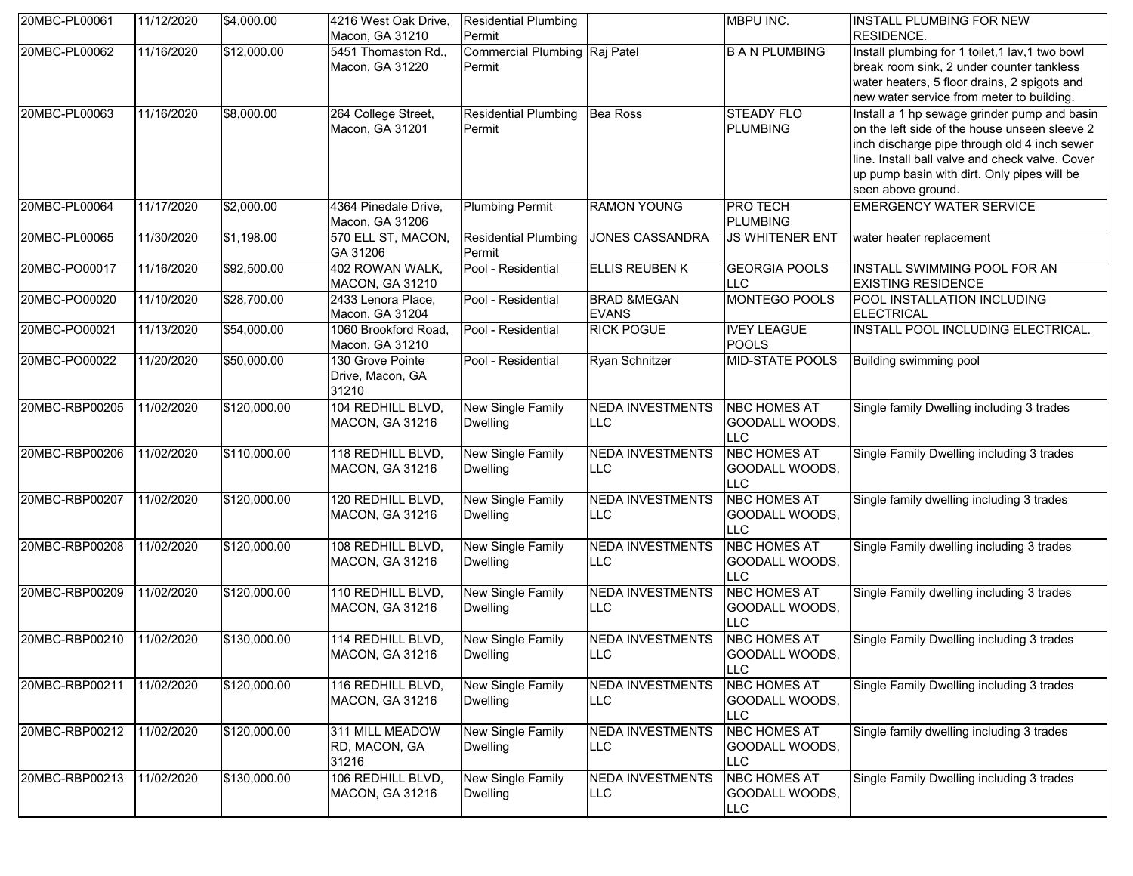| 20MBC-PL00061  | 11/12/2020 | \$4,000.00   | 4216 West Oak Drive,<br>Macon, GA 31210       | <b>Residential Plumbing</b><br>Permit          |                                        | <b>MBPU INC.</b>                                    | <b>INSTALL PLUMBING FOR NEW</b><br><b>RESIDENCE.</b>                                                                                                                                                                                                                  |
|----------------|------------|--------------|-----------------------------------------------|------------------------------------------------|----------------------------------------|-----------------------------------------------------|-----------------------------------------------------------------------------------------------------------------------------------------------------------------------------------------------------------------------------------------------------------------------|
| 20MBC-PL00062  | 11/16/2020 | \$12,000.00  | 5451 Thomaston Rd.,<br>Macon, GA 31220        | <b>Commercial Plumbing Raj Patel</b><br>Permit |                                        | <b>B A N PLUMBING</b>                               | Install plumbing for 1 toilet, 1 lav, 1 two bowl<br>break room sink, 2 under counter tankless<br>water heaters, 5 floor drains, 2 spigots and<br>new water service from meter to building.                                                                            |
| 20MBC-PL00063  | 11/16/2020 | \$8,000.00   | 264 College Street,<br>Macon, GA 31201        | <b>Residential Plumbing</b><br>Permit          | <b>Bea Ross</b>                        | <b>STEADY FLO</b><br><b>PLUMBING</b>                | Install a 1 hp sewage grinder pump and basin<br>on the left side of the house unseen sleeve 2<br>inch discharge pipe through old 4 inch sewer<br>line. Install ball valve and check valve. Cover<br>up pump basin with dirt. Only pipes will be<br>seen above ground. |
| 20MBC-PL00064  | 11/17/2020 | \$2,000.00   | 4364 Pinedale Drive,<br>Macon, GA 31206       | <b>Plumbing Permit</b>                         | <b>RAMON YOUNG</b>                     | <b>PRO TECH</b><br><b>PLUMBING</b>                  | <b>EMERGENCY WATER SERVICE</b>                                                                                                                                                                                                                                        |
| 20MBC-PL00065  | 11/30/2020 | \$1,198.00   | 570 ELL ST, MACON,<br>GA 31206                | <b>Residential Plumbing</b><br>Permit          | <b>JONES CASSANDRA</b>                 | <b>JS WHITENER ENT</b>                              | water heater replacement                                                                                                                                                                                                                                              |
| 20MBC-PO00017  | 11/16/2020 | \$92,500.00  | 402 ROWAN WALK,<br><b>MACON, GA 31210</b>     | Pool - Residential                             | <b>ELLIS REUBEN K</b>                  | <b>GEORGIA POOLS</b><br><b>LLC</b>                  | <b>INSTALL SWIMMING POOL FOR AN</b><br><b>EXISTING RESIDENCE</b>                                                                                                                                                                                                      |
| 20MBC-PO00020  | 11/10/2020 | \$28,700.00  | 2433 Lenora Place,<br>Macon, GA 31204         | Pool - Residential                             | <b>BRAD &amp;MEGAN</b><br><b>EVANS</b> | MONTEGO POOLS                                       | POOL INSTALLATION INCLUDING<br><b>ELECTRICAL</b>                                                                                                                                                                                                                      |
| 20MBC-PO00021  | 11/13/2020 | \$54,000.00  | 1060 Brookford Road,<br>Macon, GA 31210       | Pool - Residential                             | <b>RICK POGUE</b>                      | <b>IVEY LEAGUE</b><br><b>POOLS</b>                  | INSTALL POOL INCLUDING ELECTRICAL.                                                                                                                                                                                                                                    |
| 20MBC-PO00022  | 11/20/2020 | \$50,000.00  | 130 Grove Pointe<br>Drive, Macon, GA<br>31210 | Pool - Residential                             | <b>Ryan Schnitzer</b>                  | <b>MID-STATE POOLS</b>                              | Building swimming pool                                                                                                                                                                                                                                                |
| 20MBC-RBP00205 | 11/02/2020 | \$120,000.00 | 104 REDHILL BLVD,<br>MACON, GA 31216          | New Single Family<br><b>Dwelling</b>           | <b>NEDA INVESTMENTS</b><br><b>LLC</b>  | <b>NBC HOMES AT</b><br>GOODALL WOODS,<br>LLC        | Single family Dwelling including 3 trades                                                                                                                                                                                                                             |
| 20MBC-RBP00206 | 11/02/2020 | \$110,000.00 | 118 REDHILL BLVD,<br>MACON, GA 31216          | New Single Family<br><b>Dwelling</b>           | <b>NEDA INVESTMENTS</b><br><b>LLC</b>  | <b>NBC HOMES AT</b><br>GOODALL WOODS,<br><b>LLC</b> | Single Family Dwelling including 3 trades                                                                                                                                                                                                                             |
| 20MBC-RBP00207 | 11/02/2020 | \$120,000.00 | 120 REDHILL BLVD,<br>MACON, GA 31216          | <b>New Single Family</b><br><b>Dwelling</b>    | <b>NEDA INVESTMENTS</b><br><b>LLC</b>  | <b>NBC HOMES AT</b><br>GOODALL WOODS,<br><b>LLC</b> | Single family dwelling including 3 trades                                                                                                                                                                                                                             |
| 20MBC-RBP00208 | 11/02/2020 | \$120,000.00 | 108 REDHILL BLVD,<br>MACON, GA 31216          | New Single Family<br><b>Dwelling</b>           | <b>NEDA INVESTMENTS</b><br><b>LLC</b>  | <b>NBC HOMES AT</b><br>GOODALL WOODS,<br><b>LLC</b> | Single Family dwelling including 3 trades                                                                                                                                                                                                                             |
| 20MBC-RBP00209 | 11/02/2020 | \$120,000.00 | 110 REDHILL BLVD,<br><b>MACON, GA 31216</b>   | <b>New Single Family</b><br><b>Dwelling</b>    | <b>NEDA INVESTMENTS</b><br><b>LLC</b>  | <b>NBC HOMES AT</b><br>GOODALL WOODS,<br><b>LLC</b> | Single Family dwelling including 3 trades                                                                                                                                                                                                                             |
| 20MBC-RBP00210 | 11/02/2020 | \$130,000.00 | 114 REDHILL BLVD,<br><b>MACON, GA 31216</b>   | New Single Family<br>Dwelling                  | <b>NEDA INVESTMENTS</b><br>LLC         | <b>NBC HOMES AT</b><br>GOODALL WOODS,<br><b>LLC</b> | Single Family Dwelling including 3 trades                                                                                                                                                                                                                             |
| 20MBC-RBP00211 | 11/02/2020 | \$120,000.00 | 116 REDHILL BLVD,<br>MACON, GA 31216          | New Single Family<br><b>Dwelling</b>           | <b>NEDA INVESTMENTS</b><br><b>LLC</b>  | <b>NBC HOMES AT</b><br>GOODALL WOODS,<br><b>LLC</b> | Single Family Dwelling including 3 trades                                                                                                                                                                                                                             |
| 20MBC-RBP00212 | 11/02/2020 | \$120,000.00 | 311 MILL MEADOW<br>RD, MACON, GA<br>31216     | New Single Family<br><b>Dwelling</b>           | <b>NEDA INVESTMENTS</b><br><b>LLC</b>  | <b>NBC HOMES AT</b><br>GOODALL WOODS,<br>LLC.       | Single family dwelling including 3 trades                                                                                                                                                                                                                             |
| 20MBC-RBP00213 | 11/02/2020 | \$130,000.00 | 106 REDHILL BLVD,<br>MACON, GA 31216          | New Single Family<br><b>Dwelling</b>           | <b>NEDA INVESTMENTS</b><br><b>LLC</b>  | <b>NBC HOMES AT</b><br>GOODALL WOODS,<br><b>LLC</b> | Single Family Dwelling including 3 trades                                                                                                                                                                                                                             |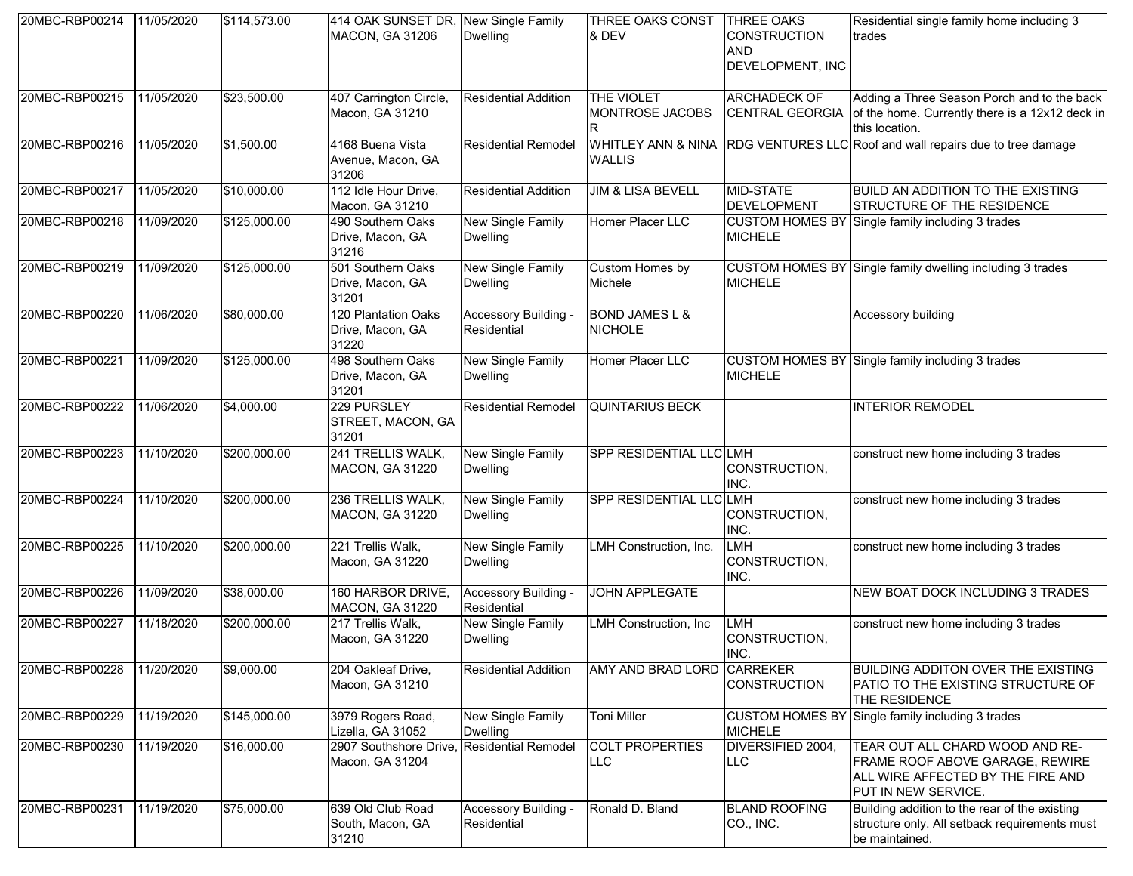| 20MBC-RBP00214 | 11/05/2020 | \$114,573.00 | 414 OAK SUNSET DR, New Single Family<br><b>MACON, GA 31206</b> | <b>Dwelling</b>                             | THREE OAKS CONST<br>& DEV                   | <b>THREE OAKS</b><br><b>CONSTRUCTION</b><br>AND<br>DEVELOPMENT, INC | Residential single family home including 3<br>trades                                                                                  |
|----------------|------------|--------------|----------------------------------------------------------------|---------------------------------------------|---------------------------------------------|---------------------------------------------------------------------|---------------------------------------------------------------------------------------------------------------------------------------|
| 20MBC-RBP00215 | 11/05/2020 | \$23,500.00  | 407 Carrington Circle,<br>Macon, GA 31210                      | <b>Residential Addition</b>                 | <b>THE VIOLET</b><br>MONTROSE JACOBS        | <b>ARCHADECK OF</b>                                                 | Adding a Three Season Porch and to the back<br>CENTRAL GEORGIA of the home. Currently there is a 12x12 deck in<br>this location.      |
| 20MBC-RBP00216 | 11/05/2020 | \$1,500.00   | 4168 Buena Vista<br>Avenue, Macon, GA<br>31206                 | <b>Residential Remodel</b>                  | <b>WALLIS</b>                               |                                                                     | WHITLEY ANN & NINA RDG VENTURES LLC Roof and wall repairs due to tree damage                                                          |
| 20MBC-RBP00217 | 11/05/2020 | \$10,000.00  | 112 Idle Hour Drive,<br>Macon, GA 31210                        | <b>Residential Addition</b>                 | <b>JIM &amp; LISA BEVELL</b>                | <b>MID-STATE</b><br><b>DEVELOPMENT</b>                              | <b>BUILD AN ADDITION TO THE EXISTING</b><br>STRUCTURE OF THE RESIDENCE                                                                |
| 20MBC-RBP00218 | 11/09/2020 | \$125,000.00 | 490 Southern Oaks<br>Drive, Macon, GA<br>31216                 | New Single Family<br><b>Dwelling</b>        | Homer Placer LLC                            | <b>MICHELE</b>                                                      | CUSTOM HOMES BY Single family including 3 trades                                                                                      |
| 20MBC-RBP00219 | 11/09/2020 | \$125,000.00 | 501 Southern Oaks<br>Drive, Macon, GA<br>31201                 | New Single Family<br><b>Dwelling</b>        | Custom Homes by<br>Michele                  | <b>MICHELE</b>                                                      | CUSTOM HOMES BY Single family dwelling including 3 trades                                                                             |
| 20MBC-RBP00220 | 11/06/2020 | \$80,000.00  | 120 Plantation Oaks<br>Drive, Macon, GA<br>31220               | Accessory Building -<br>Residential         | <b>BOND JAMES L &amp;</b><br><b>NICHOLE</b> |                                                                     | Accessory building                                                                                                                    |
| 20MBC-RBP00221 | 11/09/2020 | \$125,000.00 | 498 Southern Oaks<br>Drive, Macon, GA<br>31201                 | New Single Family<br><b>Dwelling</b>        | Homer Placer LLC                            | <b>MICHELE</b>                                                      | CUSTOM HOMES BY Single family including 3 trades                                                                                      |
| 20MBC-RBP00222 | 11/06/2020 | \$4,000.00   | 229 PURSLEY<br>STREET, MACON, GA<br>31201                      | <b>Residential Remodel</b>                  | <b>QUINTARIUS BECK</b>                      |                                                                     | <b>INTERIOR REMODEL</b>                                                                                                               |
| 20MBC-RBP00223 | 11/10/2020 | \$200,000.00 | 241 TRELLIS WALK,<br>MACON, GA 31220                           | New Single Family<br><b>Dwelling</b>        | SPP RESIDENTIAL LLC LMH                     | CONSTRUCTION,<br>INC.                                               | construct new home including 3 trades                                                                                                 |
| 20MBC-RBP00224 | 11/10/2020 | \$200,000.00 | 236 TRELLIS WALK,<br><b>MACON, GA 31220</b>                    | <b>New Single Family</b><br><b>Dwelling</b> | <b>SPP RESIDENTIAL LLC LMH</b>              | CONSTRUCTION,<br>INC.                                               | construct new home including 3 trades                                                                                                 |
| 20MBC-RBP00225 | 11/10/2020 | \$200,000.00 | 221 Trellis Walk,<br>Macon, GA 31220                           | New Single Family<br><b>Dwelling</b>        | LMH Construction, Inc.                      | <b>LMH</b><br>CONSTRUCTION,<br>INC.                                 | construct new home including 3 trades                                                                                                 |
| 20MBC-RBP00226 | 11/09/2020 | \$38,000.00  | 160 HARBOR DRIVE,<br><b>MACON, GA 31220</b>                    | Accessory Building -<br>Residential         | <b>JOHN APPLEGATE</b>                       |                                                                     | NEW BOAT DOCK INCLUDING 3 TRADES                                                                                                      |
| 20MBC-RBP00227 | 11/18/2020 | \$200,000.00 | 217 Trellis Walk,<br>Macon, GA 31220                           | New Single Family<br><b>Dwelling</b>        | LMH Construction, Inc                       | <b>LMH</b><br>CONSTRUCTION,<br>INC.                                 | construct new home including 3 trades                                                                                                 |
| 20MBC-RBP00228 | 11/20/2020 | \$9,000.00   | 204 Oakleaf Drive,<br>Macon, GA 31210                          | <b>Residential Addition</b>                 | AMY AND BRAD LORD CARREKER                  | <b>CONSTRUCTION</b>                                                 | <b>BUILDING ADDITON OVER THE EXISTING</b><br>PATIO TO THE EXISTING STRUCTURE OF<br>THE RESIDENCE                                      |
| 20MBC-RBP00229 | 11/19/2020 | \$145,000.00 | 3979 Rogers Road,<br>Lizella, GA 31052                         | New Single Family<br><b>Dwelling</b>        | <b>Toni Miller</b>                          | <b>MICHELE</b>                                                      | CUSTOM HOMES BY Single family including 3 trades                                                                                      |
| 20MBC-RBP00230 | 11/19/2020 | \$16,000.00  | 2907 Southshore Drive,<br>Macon, GA 31204                      | <b>Residential Remodel</b>                  | <b>COLT PROPERTIES</b><br><b>LLC</b>        | DIVERSIFIED 2004,<br><b>LLC</b>                                     | TEAR OUT ALL CHARD WOOD AND RE-<br><b>FRAME ROOF ABOVE GARAGE, REWIRE</b><br>ALL WIRE AFFECTED BY THE FIRE AND<br>PUT IN NEW SERVICE. |
| 20MBC-RBP00231 | 11/19/2020 | \$75,000.00  | 639 Old Club Road<br>South, Macon, GA<br>31210                 | Accessory Building -<br>Residential         | Ronald D. Bland                             | <b>BLAND ROOFING</b><br>CO., INC.                                   | Building addition to the rear of the existing<br>structure only. All setback requirements must<br>be maintained.                      |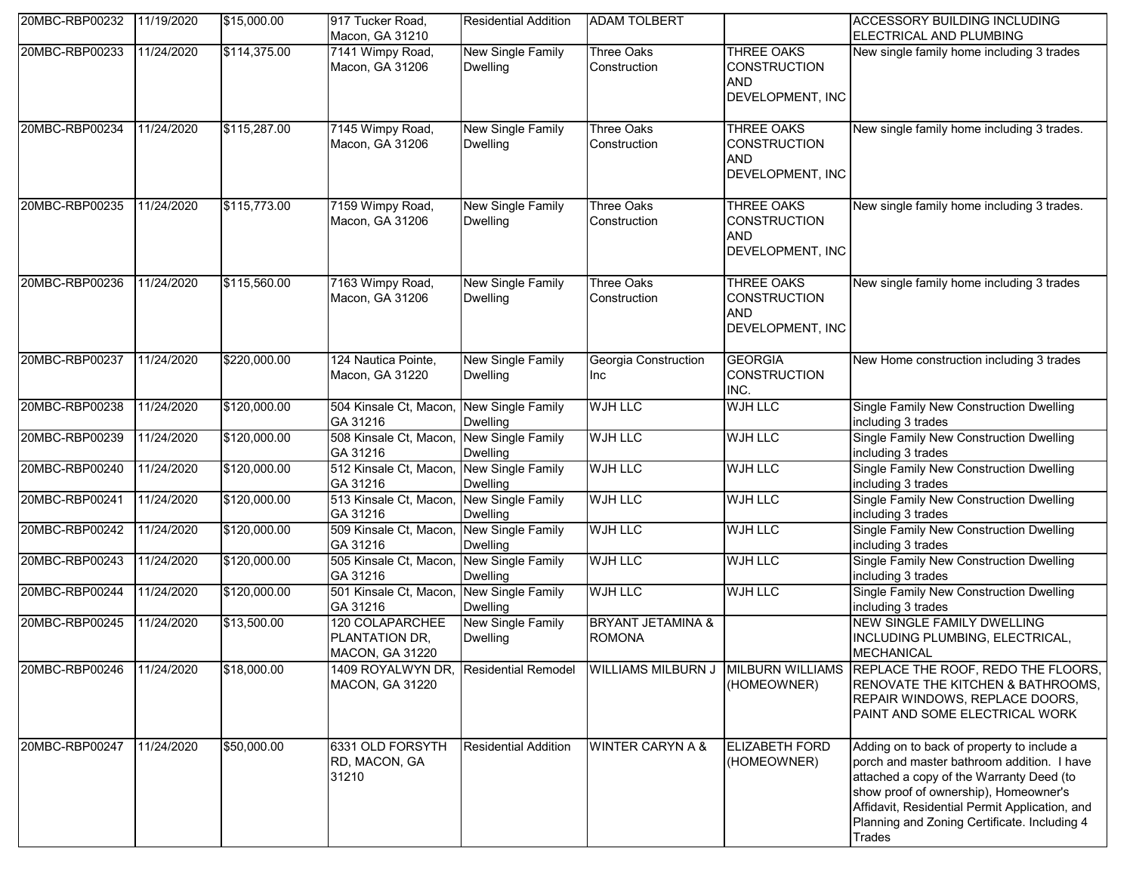| 20MBC-RBP00232 | 11/19/2020 | \$15,000.00  | 917 Tucker Road,<br>Macon, GA 31210                         | <b>Residential Addition</b>                 | <b>ADAM TOLBERT</b>                           |                                                                            | <b>ACCESSORY BUILDING INCLUDING</b><br>ELECTRICAL AND PLUMBING                                                                                                                                                                                                                            |
|----------------|------------|--------------|-------------------------------------------------------------|---------------------------------------------|-----------------------------------------------|----------------------------------------------------------------------------|-------------------------------------------------------------------------------------------------------------------------------------------------------------------------------------------------------------------------------------------------------------------------------------------|
| 20MBC-RBP00233 | 11/24/2020 | \$114,375.00 | 7141 Wimpy Road,<br>Macon, GA 31206                         | New Single Family<br><b>Dwelling</b>        | Three Oaks<br>Construction                    | <b>THREE OAKS</b><br><b>CONSTRUCTION</b><br><b>AND</b><br>DEVELOPMENT, INC | New single family home including 3 trades                                                                                                                                                                                                                                                 |
| 20MBC-RBP00234 | 11/24/2020 | \$115,287.00 | 7145 Wimpy Road,<br>Macon, GA 31206                         | <b>New Single Family</b><br><b>Dwelling</b> | Three Oaks<br>Construction                    | <b>THREE OAKS</b><br><b>CONSTRUCTION</b><br><b>AND</b><br>DEVELOPMENT, INC | New single family home including 3 trades.                                                                                                                                                                                                                                                |
| 20MBC-RBP00235 | 11/24/2020 | \$115,773.00 | 7159 Wimpy Road,<br>Macon, GA 31206                         | New Single Family<br><b>Dwelling</b>        | <b>Three Oaks</b><br>Construction             | THREE OAKS<br><b>CONSTRUCTION</b><br><b>AND</b><br>DEVELOPMENT, INC        | New single family home including 3 trades.                                                                                                                                                                                                                                                |
| 20MBC-RBP00236 | 11/24/2020 | \$115,560.00 | 7163 Wimpy Road,<br>Macon, GA 31206                         | <b>New Single Family</b><br><b>Dwelling</b> | Three Oaks<br>Construction                    | THREE OAKS<br><b>CONSTRUCTION</b><br><b>AND</b><br>DEVELOPMENT, INC        | New single family home including 3 trades                                                                                                                                                                                                                                                 |
| 20MBC-RBP00237 | 11/24/2020 | \$220,000.00 | 124 Nautica Pointe,<br>Macon, GA 31220                      | New Single Family<br><b>Dwelling</b>        | Georgia Construction<br>Inc                   | <b>GEORGIA</b><br><b>CONSTRUCTION</b><br>INC.                              | New Home construction including 3 trades                                                                                                                                                                                                                                                  |
| 20MBC-RBP00238 | 11/24/2020 | \$120,000.00 | 504 Kinsale Ct, Macon,<br>GA 31216                          | New Single Family<br><b>Dwelling</b>        | <b>WJH LLC</b>                                | <b>WJH LLC</b>                                                             | Single Family New Construction Dwelling<br>including 3 trades                                                                                                                                                                                                                             |
| 20MBC-RBP00239 | 11/24/2020 | \$120,000.00 | 508 Kinsale Ct, Macon,<br>GA 31216                          | New Single Family<br>Dwelling               | <b>WJH LLC</b>                                | <b>WJH LLC</b>                                                             | Single Family New Construction Dwelling<br>including 3 trades                                                                                                                                                                                                                             |
| 20MBC-RBP00240 | 11/24/2020 | \$120,000.00 | 512 Kinsale Ct, Macon, New Single Family<br>GA 31216        | <b>Dwelling</b>                             | <b>WJH LLC</b>                                | <b>WJH LLC</b>                                                             | Single Family New Construction Dwelling<br>including 3 trades                                                                                                                                                                                                                             |
| 20MBC-RBP00241 | 11/24/2020 | \$120,000.00 | 513 Kinsale Ct, Macon,<br>GA 31216                          | New Single Family<br>Dwelling               | <b>WJH LLC</b>                                | <b>WJH LLC</b>                                                             | Single Family New Construction Dwelling<br>including 3 trades                                                                                                                                                                                                                             |
| 20MBC-RBP00242 | 11/24/2020 | \$120,000.00 | 509 Kinsale Ct, Macon,<br>GA 31216                          | New Single Family<br><b>Dwelling</b>        | <b>WJH LLC</b>                                | <b>WJH LLC</b>                                                             | Single Family New Construction Dwelling<br>including 3 trades                                                                                                                                                                                                                             |
| 20MBC-RBP00243 | 11/24/2020 | \$120,000.00 | 505 Kinsale Ct, Macon,<br>GA 31216                          | New Single Family<br><b>Dwelling</b>        | <b>WJH LLC</b>                                | <b>WJH LLC</b>                                                             | Single Family New Construction Dwelling<br>including 3 trades                                                                                                                                                                                                                             |
| 20MBC-RBP00244 | 11/24/2020 | \$120,000.00 | 501 Kinsale Ct, Macon,<br>GA 31216                          | <b>New Single Family</b><br><b>Dwelling</b> | <b>WJH LLC</b>                                | <b>WJH LLC</b>                                                             | Single Family New Construction Dwelling<br>including 3 trades                                                                                                                                                                                                                             |
| 20MBC-RBP00245 | 11/24/2020 | \$13,500.00  | 120 COLAPARCHEE<br>PLANTATION DR,<br><b>MACON, GA 31220</b> | New Single Family<br><b>Dwelling</b>        | <b>BRYANT JETAMINA &amp;</b><br><b>ROMONA</b> |                                                                            | <b>NEW SINGLE FAMILY DWELLING</b><br>INCLUDING PLUMBING, ELECTRICAL,<br><b>MECHANICAL</b>                                                                                                                                                                                                 |
| 20MBC-RBP00246 | 11/24/2020 | \$18,000.00  | 1409 ROYALWYN DR,<br>MACON, GA 31220                        | <b>Residential Remodel</b>                  | <b>WILLIAMS MILBURN J</b>                     | (HOMEOWNER)                                                                | MILBURN WILLIAMS REPLACE THE ROOF, REDO THE FLOORS,<br>RENOVATE THE KITCHEN & BATHROOMS,<br>REPAIR WINDOWS, REPLACE DOORS,<br>PAINT AND SOME ELECTRICAL WORK                                                                                                                              |
| 20MBC-RBP00247 | 11/24/2020 | \$50,000.00  | 6331 OLD FORSYTH<br>RD, MACON, GA<br>31210                  | <b>Residential Addition</b>                 | <b>WINTER CARYN A &amp;</b>                   | <b>ELIZABETH FORD</b><br>(HOMEOWNER)                                       | Adding on to back of property to include a<br>porch and master bathroom addition. I have<br>attached a copy of the Warranty Deed (to<br>show proof of ownership), Homeowner's<br>Affidavit, Residential Permit Application, and<br>Planning and Zoning Certificate. Including 4<br>Trades |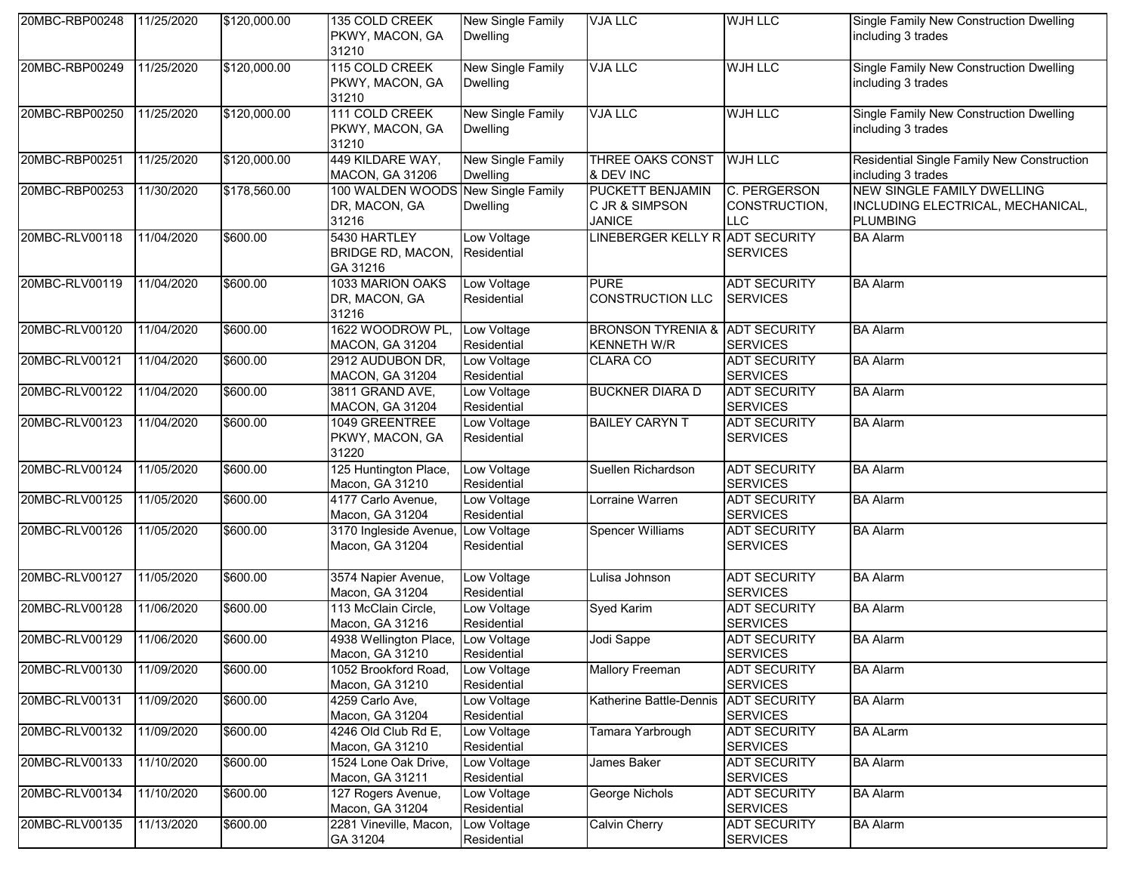| 20MBC-RBP00248 | 11/25/2020 | \$120,000.00 | 135 COLD CREEK<br>PKWY, MACON, GA<br>31210                   | New Single Family<br><b>Dwelling</b>        | <b>VJA LLC</b>                                             | <b>WJH LLC</b>                              | Single Family New Construction Dwelling<br>including 3 trades                             |
|----------------|------------|--------------|--------------------------------------------------------------|---------------------------------------------|------------------------------------------------------------|---------------------------------------------|-------------------------------------------------------------------------------------------|
| 20MBC-RBP00249 | 11/25/2020 | \$120,000.00 | 115 COLD CREEK<br>PKWY, MACON, GA<br>31210                   | <b>New Single Family</b><br><b>Dwelling</b> | <b>VJA LLC</b>                                             | <b>WJH LLC</b>                              | Single Family New Construction Dwelling<br>including 3 trades                             |
| 20MBC-RBP00250 | 11/25/2020 | \$120,000.00 | 111 COLD CREEK<br>PKWY, MACON, GA<br>31210                   | New Single Family<br><b>Dwelling</b>        | <b>VJA LLC</b>                                             | <b>WJH LLC</b>                              | Single Family New Construction Dwelling<br>including 3 trades                             |
| 20MBC-RBP00251 | 11/25/2020 | \$120,000.00 | 449 KILDARE WAY,<br>MACON, GA 31206                          | New Single Family<br><b>Dwelling</b>        | THREE OAKS CONST<br>& DEV INC                              | <b>WJH LLC</b>                              | Residential Single Family New Construction<br>including 3 trades                          |
| 20MBC-RBP00253 | 11/30/2020 | \$178,560.00 | 100 WALDEN WOODS New Single Family<br>DR, MACON, GA<br>31216 | <b>Dwelling</b>                             | <b>PUCKETT BENJAMIN</b><br>C JR & SIMPSON<br><b>JANICE</b> | C. PERGERSON<br>CONSTRUCTION,<br><b>LLC</b> | <b>NEW SINGLE FAMILY DWELLING</b><br>INCLUDING ELECTRICAL, MECHANICAL,<br><b>PLUMBING</b> |
| 20MBC-RLV00118 | 11/04/2020 | \$600.00     | 5430 HARTLEY<br>BRIDGE RD, MACON,<br>GA 31216                | Low Voltage<br>Residential                  | LINEBERGER KELLY RADT SECURITY                             | <b>SERVICES</b>                             | <b>BA Alarm</b>                                                                           |
| 20MBC-RLV00119 | 11/04/2020 | \$600.00     | 1033 MARION OAKS<br>DR, MACON, GA<br>31216                   | Low Voltage<br>Residential                  | <b>PURE</b><br><b>CONSTRUCTION LLC</b>                     | <b>ADT SECURITY</b><br><b>SERVICES</b>      | <b>BA Alarm</b>                                                                           |
| 20MBC-RLV00120 | 11/04/2020 | \$600.00     | 1622 WOODROW PL,<br><b>MACON, GA 31204</b>                   | Low Voltage<br>Residential                  | BRONSON TYRENIA & ADT SECURITY<br><b>KENNETH W/R</b>       | <b>SERVICES</b>                             | <b>BA Alarm</b>                                                                           |
| 20MBC-RLV00121 | 11/04/2020 | \$600.00     | 2912 AUDUBON DR,<br><b>MACON, GA 31204</b>                   | Low Voltage<br>Residential                  | <b>CLARA CO</b>                                            | <b>ADT SECURITY</b><br><b>SERVICES</b>      | <b>BA Alarm</b>                                                                           |
| 20MBC-RLV00122 | 11/04/2020 | \$600.00     | 3811 GRAND AVE,<br><b>MACON, GA 31204</b>                    | Low Voltage<br>Residential                  | <b>BUCKNER DIARA D</b>                                     | <b>ADT SECURITY</b><br><b>SERVICES</b>      | <b>BA Alarm</b>                                                                           |
| 20MBC-RLV00123 | 11/04/2020 | \$600.00     | 1049 GREENTREE<br>PKWY, MACON, GA<br>31220                   | Low Voltage<br>Residential                  | <b>BAILEY CARYN T</b>                                      | <b>ADT SECURITY</b><br><b>SERVICES</b>      | <b>BA Alarm</b>                                                                           |
| 20MBC-RLV00124 | 11/05/2020 | \$600.00     | 125 Huntington Place,<br>Macon, GA 31210                     | Low Voltage<br>Residential                  | Suellen Richardson                                         | <b>ADT SECURITY</b><br><b>SERVICES</b>      | <b>BA Alarm</b>                                                                           |
| 20MBC-RLV00125 | 11/05/2020 | \$600.00     | 4177 Carlo Avenue,<br>Macon, GA 31204                        | Low Voltage<br>Residential                  | Lorraine Warren                                            | <b>ADT SECURITY</b><br><b>SERVICES</b>      | <b>BA Alarm</b>                                                                           |
| 20MBC-RLV00126 | 11/05/2020 | \$600.00     | 3170 Ingleside Avenue,<br>Macon, GA 31204                    | Low Voltage<br>Residential                  | <b>Spencer Williams</b>                                    | <b>ADT SECURITY</b><br><b>SERVICES</b>      | <b>BA Alarm</b>                                                                           |
| 20MBC-RLV00127 | 11/05/2020 | \$600.00     | 3574 Napier Avenue,<br>Macon, GA 31204                       | Low Voltage<br>Residential                  | Lulisa Johnson                                             | <b>ADT SECURITY</b><br><b>SERVICES</b>      | <b>BA Alarm</b>                                                                           |
| 20MBC-RLV00128 | 11/06/2020 | \$600.00     | 113 McClain Circle,<br>Macon, GA 31216                       | Low Voltage<br>Residential                  | Syed Karim                                                 | <b>ADT SECURITY</b><br><b>SERVICES</b>      | <b>BA Alarm</b>                                                                           |
| 20MBC-RLV00129 | 11/06/2020 | \$600.00     | 4938 Wellington Place, Low Voltage<br>Macon, GA 31210        | Residential                                 | Jodi Sappe                                                 | <b>ADT SECURITY</b><br><b>SERVICES</b>      | <b>BA Alarm</b>                                                                           |
| 20MBC-RLV00130 | 11/09/2020 | \$600.00     | 1052 Brookford Road,<br>Macon, GA 31210                      | Low Voltage<br>Residential                  | <b>Mallory Freeman</b>                                     | <b>ADT SECURITY</b><br><b>SERVICES</b>      | <b>BA Alarm</b>                                                                           |
| 20MBC-RLV00131 | 11/09/2020 | \$600.00     | 4259 Carlo Ave,<br>Macon, GA 31204                           | Low Voltage<br>Residential                  | Katherine Battle-Dennis                                    | <b>ADT SECURITY</b><br><b>SERVICES</b>      | <b>BA Alarm</b>                                                                           |
| 20MBC-RLV00132 | 11/09/2020 | \$600.00     | 4246 Old Club Rd E,<br>Macon, GA 31210                       | Low Voltage<br>Residential                  | Tamara Yarbrough                                           | <b>ADT SECURITY</b><br><b>SERVICES</b>      | <b>BA ALarm</b>                                                                           |
| 20MBC-RLV00133 | 11/10/2020 | \$600.00     | 1524 Lone Oak Drive,<br>Macon, GA 31211                      | Low Voltage<br>Residential                  | James Baker                                                | <b>ADT SECURITY</b><br><b>SERVICES</b>      | <b>BA Alarm</b>                                                                           |
| 20MBC-RLV00134 | 11/10/2020 | \$600.00     | 127 Rogers Avenue,<br>Macon, GA 31204                        | Low Voltage<br>Residential                  | George Nichols                                             | <b>ADT SECURITY</b><br><b>SERVICES</b>      | <b>BA Alarm</b>                                                                           |
| 20MBC-RLV00135 | 11/13/2020 | \$600.00     | 2281 Vineville, Macon,<br>GA 31204                           | Low Voltage<br>Residential                  | <b>Calvin Cherry</b>                                       | <b>ADT SECURITY</b><br><b>SERVICES</b>      | <b>BA Alarm</b>                                                                           |